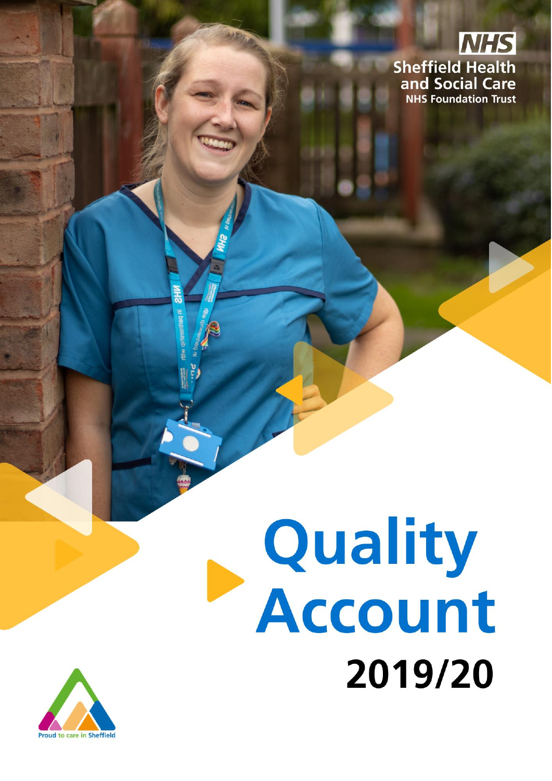

# **Quality<br>Account** 2019/20

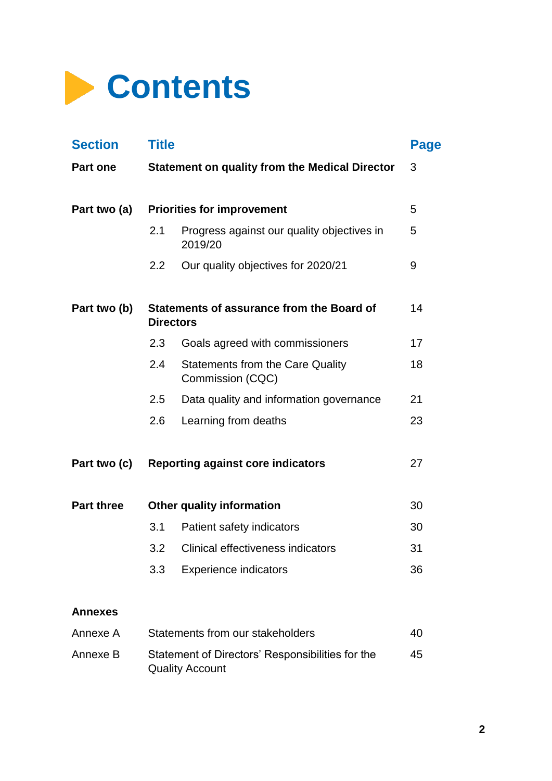

| <b>Section</b>    | <b>Title</b>                           |                                                             | Page |
|-------------------|----------------------------------------|-------------------------------------------------------------|------|
| <b>Part one</b>   |                                        | <b>Statement on quality from the Medical Director</b>       | 3    |
| Part two (a)      |                                        | <b>Priorities for improvement</b>                           | 5    |
|                   | 2.1                                    | Progress against our quality objectives in<br>2019/20       | 5    |
|                   | $2.2\phantom{0}$                       | Our quality objectives for 2020/21                          | 9    |
| Part two (b)      | <b>Directors</b>                       | Statements of assurance from the Board of                   | 14   |
|                   | 2.3                                    | Goals agreed with commissioners                             | 17   |
|                   | 2.4                                    | <b>Statements from the Care Quality</b><br>Commission (CQC) | 18   |
|                   | 2.5                                    | Data quality and information governance                     | 21   |
|                   | 2.6                                    | Learning from deaths                                        | 23   |
| Part two (c)      |                                        | <b>Reporting against core indicators</b>                    | 27   |
| <b>Part three</b> |                                        | <b>Other quality information</b>                            | 30   |
|                   | 3.1                                    | Patient safety indicators                                   | 30   |
|                   | 3.2                                    | Clinical effectiveness indicators                           | 31   |
|                   | 3.3                                    | <b>Experience indicators</b>                                | 36   |
| <b>Annexes</b>    |                                        |                                                             |      |
| Annexe A          | Statements from our stakeholders<br>40 |                                                             |      |

| Annexe A | Statements from our stakeholders                                           | 40 |
|----------|----------------------------------------------------------------------------|----|
| Annexe B | Statement of Directors' Responsibilities for the<br><b>Quality Account</b> | 45 |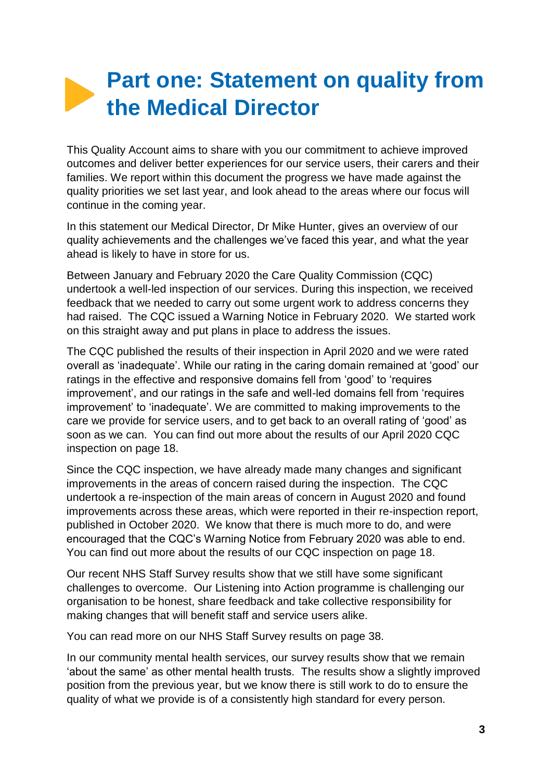# **Part one: Statement on quality from the Medical Director**

This Quality Account aims to share with you our commitment to achieve improved outcomes and deliver better experiences for our service users, their carers and their families. We report within this document the progress we have made against the quality priorities we set last year, and look ahead to the areas where our focus will continue in the coming year.

In this statement our Medical Director, Dr Mike Hunter, gives an overview of our quality achievements and the challenges we've faced this year, and what the year ahead is likely to have in store for us.

Between January and February 2020 the Care Quality Commission (CQC) undertook a well-led inspection of our services. During this inspection, we received feedback that we needed to carry out some urgent work to address concerns they had raised. The CQC issued a Warning Notice in February 2020. We started work on this straight away and put plans in place to address the issues.

The CQC published the results of their inspection in April 2020 and we were rated overall as 'inadequate'. While our rating in the caring domain remained at 'good' our ratings in the effective and responsive domains fell from 'good' to 'requires improvement', and our ratings in the safe and well-led domains fell from 'requires improvement' to 'inadequate'. We are committed to making improvements to the care we provide for service users, and to get back to an overall rating of 'good' as soon as we can. You can find out more about the results of our April 2020 CQC inspection on page 18.

Since the CQC inspection, we have already made many changes and significant improvements in the areas of concern raised during the inspection. The CQC undertook a re-inspection of the main areas of concern in August 2020 and found improvements across these areas, which were reported in their re-inspection report, published in October 2020. We know that there is much more to do, and were encouraged that the CQC's Warning Notice from February 2020 was able to end. You can find out more about the results of our CQC inspection on page 18.

Our recent NHS Staff Survey results show that we still have some significant challenges to overcome. Our Listening into Action programme is challenging our organisation to be honest, share feedback and take collective responsibility for making changes that will benefit staff and service users alike.

You can read more on our NHS Staff Survey results on page 38.

In our community mental health services, our survey results show that we remain 'about the same' as other mental health trusts. The results show a slightly improved position from the previous year, but we know there is still work to do to ensure the quality of what we provide is of a consistently high standard for every person.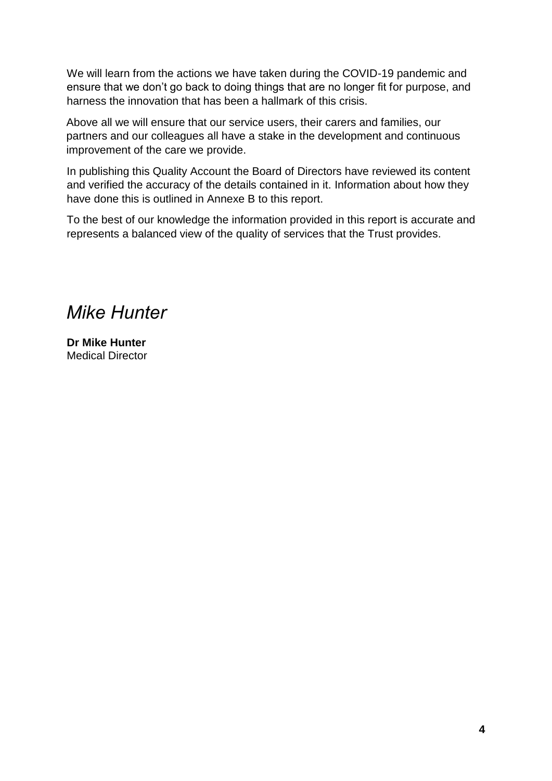We will learn from the actions we have taken during the COVID-19 pandemic and ensure that we don't go back to doing things that are no longer fit for purpose, and harness the innovation that has been a hallmark of this crisis.

Above all we will ensure that our service users, their carers and families, our partners and our colleagues all have a stake in the development and continuous improvement of the care we provide.

In publishing this Quality Account the Board of Directors have reviewed its content and verified the accuracy of the details contained in it. Information about how they have done this is outlined in Annexe B to this report.

To the best of our knowledge the information provided in this report is accurate and represents a balanced view of the quality of services that the Trust provides.

*Mike Hunter*

**Dr Mike Hunter** Medical Director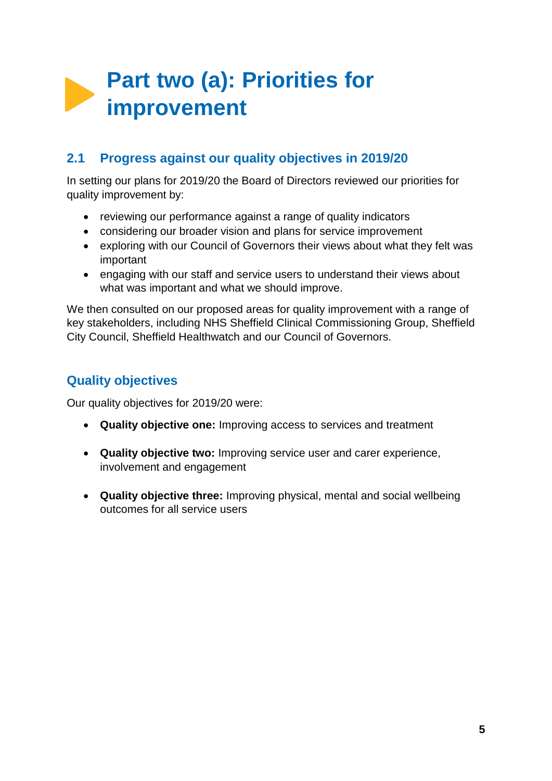# **Part two (a): Priorities for improvement**

# **2.1 Progress against our quality objectives in 2019/20**

In setting our plans for 2019/20 the Board of Directors reviewed our priorities for quality improvement by:

- reviewing our performance against a range of quality indicators
- considering our broader vision and plans for service improvement
- exploring with our Council of Governors their views about what they felt was important
- engaging with our staff and service users to understand their views about what was important and what we should improve.

We then consulted on our proposed areas for quality improvement with a range of key stakeholders, including NHS Sheffield Clinical Commissioning Group, Sheffield City Council, Sheffield Healthwatch and our Council of Governors.

# **Quality objectives**

Our quality objectives for 2019/20 were:

- **Quality objective one:** Improving access to services and treatment
- **Quality objective two:** Improving service user and carer experience, involvement and engagement
- **Quality objective three:** Improving physical, mental and social wellbeing outcomes for all service users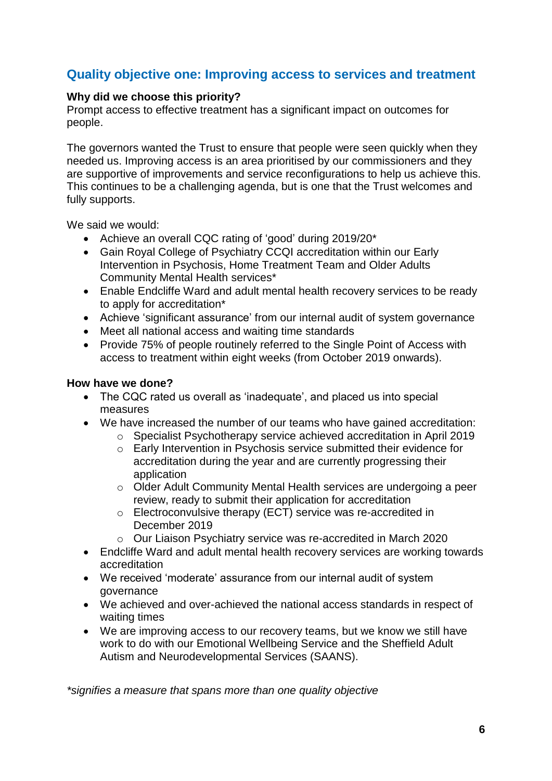# **Quality objective one: Improving access to services and treatment**

#### **Why did we choose this priority?**

Prompt access to effective treatment has a significant impact on outcomes for people.

The governors wanted the Trust to ensure that people were seen quickly when they needed us. Improving access is an area prioritised by our commissioners and they are supportive of improvements and service reconfigurations to help us achieve this. This continues to be a challenging agenda, but is one that the Trust welcomes and fully supports.

We said we would:

- Achieve an overall CQC rating of 'good' during 2019/20\*
- Gain Royal College of Psychiatry CCQI accreditation within our Early Intervention in Psychosis, Home Treatment Team and Older Adults Community Mental Health services\*
- Enable Endcliffe Ward and adult mental health recovery services to be ready to apply for accreditation\*
- Achieve 'significant assurance' from our internal audit of system governance
- Meet all national access and waiting time standards
- Provide 75% of people routinely referred to the Single Point of Access with access to treatment within eight weeks (from October 2019 onwards).

#### **How have we done?**

- The CQC rated us overall as 'inadequate', and placed us into special measures
- We have increased the number of our teams who have gained accreditation:
	- o Specialist Psychotherapy service achieved accreditation in April 2019
	- o Early Intervention in Psychosis service submitted their evidence for accreditation during the year and are currently progressing their application
	- o Older Adult Community Mental Health services are undergoing a peer review, ready to submit their application for accreditation
	- o Electroconvulsive therapy (ECT) service was re-accredited in December 2019
	- o Our Liaison Psychiatry service was re-accredited in March 2020
- Endcliffe Ward and adult mental health recovery services are working towards accreditation
- We received 'moderate' assurance from our internal audit of system governance
- We achieved and over-achieved the national access standards in respect of waiting times
- We are improving access to our recovery teams, but we know we still have work to do with our Emotional Wellbeing Service and the Sheffield Adult Autism and Neurodevelopmental Services (SAANS).

*\*signifies a measure that spans more than one quality objective*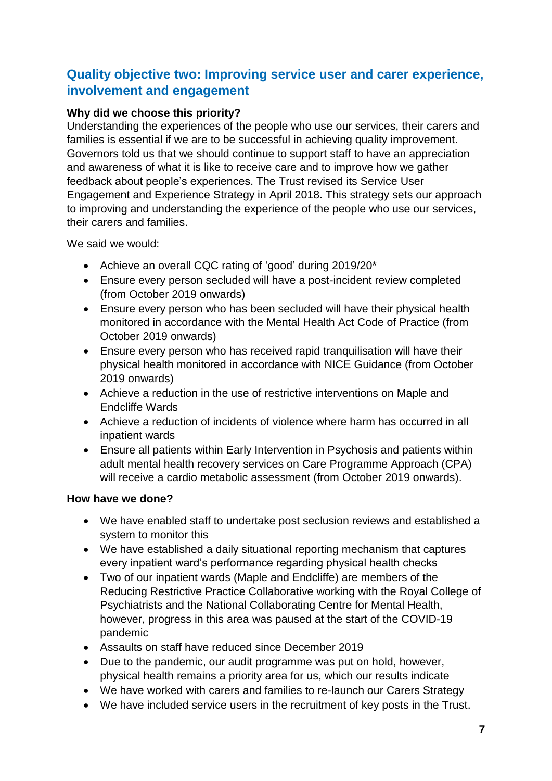# **Quality objective two: Improving service user and carer experience, involvement and engagement**

#### **Why did we choose this priority?**

Understanding the experiences of the people who use our services, their carers and families is essential if we are to be successful in achieving quality improvement. Governors told us that we should continue to support staff to have an appreciation and awareness of what it is like to receive care and to improve how we gather feedback about people's experiences. The Trust revised its Service User Engagement and Experience Strategy in April 2018. This strategy sets our approach to improving and understanding the experience of the people who use our services, their carers and families.

We said we would:

- Achieve an overall CQC rating of 'good' during 2019/20\*
- Ensure every person secluded will have a post-incident review completed (from October 2019 onwards)
- Ensure every person who has been secluded will have their physical health monitored in accordance with the Mental Health Act Code of Practice (from October 2019 onwards)
- Ensure every person who has received rapid tranquilisation will have their physical health monitored in accordance with NICE Guidance (from October 2019 onwards)
- Achieve a reduction in the use of restrictive interventions on Maple and Endcliffe Wards
- Achieve a reduction of incidents of violence where harm has occurred in all inpatient wards
- Ensure all patients within Early Intervention in Psychosis and patients within adult mental health recovery services on Care Programme Approach (CPA) will receive a cardio metabolic assessment (from October 2019 onwards).

#### **How have we done?**

- We have enabled staff to undertake post seclusion reviews and established a system to monitor this
- We have established a daily situational reporting mechanism that captures every inpatient ward's performance regarding physical health checks
- Two of our inpatient wards (Maple and Endcliffe) are members of the Reducing Restrictive Practice Collaborative working with the Royal College of Psychiatrists and the National Collaborating Centre for Mental Health, however, progress in this area was paused at the start of the COVID-19 pandemic
- Assaults on staff have reduced since December 2019
- Due to the pandemic, our audit programme was put on hold, however, physical health remains a priority area for us, which our results indicate
- We have worked with carers and families to re-launch our Carers Strategy
- We have included service users in the recruitment of key posts in the Trust.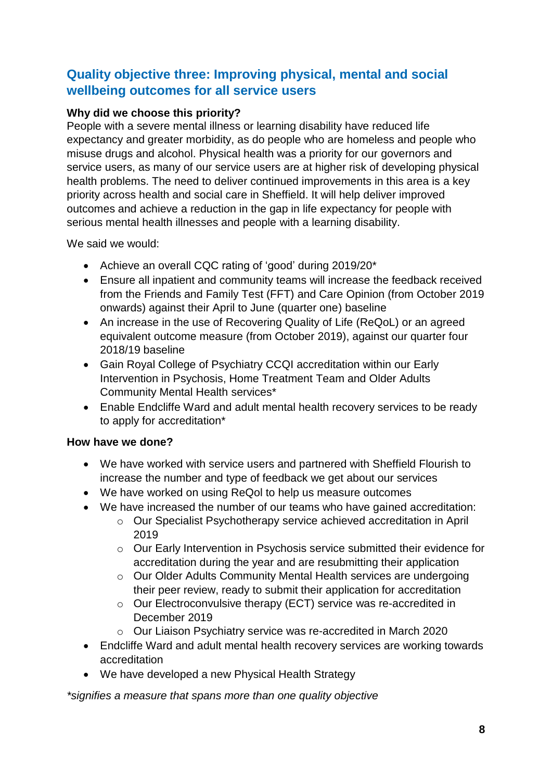# **Quality objective three: Improving physical, mental and social wellbeing outcomes for all service users**

# **Why did we choose this priority?**

People with a severe mental illness or learning disability have reduced life expectancy and greater morbidity, as do people who are homeless and people who misuse drugs and alcohol. Physical health was a priority for our governors and service users, as many of our service users are at higher risk of developing physical health problems. The need to deliver continued improvements in this area is a key priority across health and social care in Sheffield. It will help deliver improved outcomes and achieve a reduction in the gap in life expectancy for people with serious mental health illnesses and people with a learning disability.

We said we would:

- Achieve an overall CQC rating of 'good' during 2019/20\*
- Ensure all inpatient and community teams will increase the feedback received from the Friends and Family Test (FFT) and Care Opinion (from October 2019 onwards) against their April to June (quarter one) baseline
- An increase in the use of Recovering Quality of Life (ReQoL) or an agreed equivalent outcome measure (from October 2019), against our quarter four 2018/19 baseline
- Gain Royal College of Psychiatry CCQI accreditation within our Early Intervention in Psychosis, Home Treatment Team and Older Adults Community Mental Health services\*
- Enable Endcliffe Ward and adult mental health recovery services to be ready to apply for accreditation\*

# **How have we done?**

- We have worked with service users and partnered with Sheffield Flourish to increase the number and type of feedback we get about our services
- We have worked on using ReQol to help us measure outcomes
- We have increased the number of our teams who have gained accreditation:
	- o Our Specialist Psychotherapy service achieved accreditation in April 2019
	- o Our Early Intervention in Psychosis service submitted their evidence for accreditation during the year and are resubmitting their application
	- o Our Older Adults Community Mental Health services are undergoing their peer review, ready to submit their application for accreditation
	- o Our Electroconvulsive therapy (ECT) service was re-accredited in December 2019
	- o Our Liaison Psychiatry service was re-accredited in March 2020
- Endcliffe Ward and adult mental health recovery services are working towards accreditation
- We have developed a new Physical Health Strategy

*\*signifies a measure that spans more than one quality objective*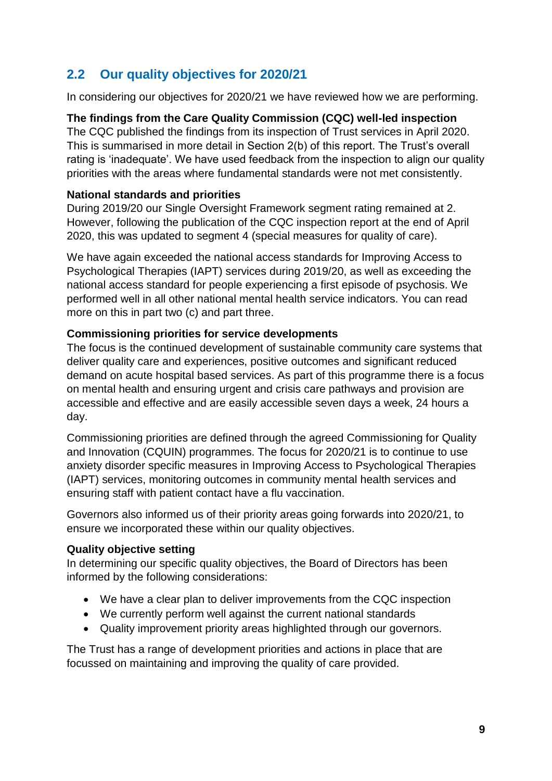# **2.2 Our quality objectives for 2020/21**

In considering our objectives for 2020/21 we have reviewed how we are performing.

# **The findings from the Care Quality Commission (CQC) well-led inspection**

The CQC published the findings from its inspection of Trust services in April 2020. This is summarised in more detail in Section 2(b) of this report. The Trust's overall rating is 'inadequate'. We have used feedback from the inspection to align our quality priorities with the areas where fundamental standards were not met consistently.

#### **National standards and priorities**

During 2019/20 our Single Oversight Framework segment rating remained at 2. However, following the publication of the CQC inspection report at the end of April 2020, this was updated to segment 4 (special measures for quality of care).

We have again exceeded the national access standards for Improving Access to Psychological Therapies (IAPT) services during 2019/20, as well as exceeding the national access standard for people experiencing a first episode of psychosis. We performed well in all other national mental health service indicators. You can read more on this in part two (c) and part three.

# **Commissioning priorities for service developments**

The focus is the continued development of sustainable community care systems that deliver quality care and experiences, positive outcomes and significant reduced demand on acute hospital based services. As part of this programme there is a focus on mental health and ensuring urgent and crisis care pathways and provision are accessible and effective and are easily accessible seven days a week, 24 hours a day.

Commissioning priorities are defined through the agreed Commissioning for Quality and Innovation (CQUIN) programmes. The focus for 2020/21 is to continue to use anxiety disorder specific measures in Improving Access to Psychological Therapies (IAPT) services, monitoring outcomes in community mental health services and ensuring staff with patient contact have a flu vaccination.

Governors also informed us of their priority areas going forwards into 2020/21, to ensure we incorporated these within our quality objectives.

# **Quality objective setting**

In determining our specific quality objectives, the Board of Directors has been informed by the following considerations:

- We have a clear plan to deliver improvements from the CQC inspection
- We currently perform well against the current national standards
- Quality improvement priority areas highlighted through our governors.

The Trust has a range of development priorities and actions in place that are focussed on maintaining and improving the quality of care provided.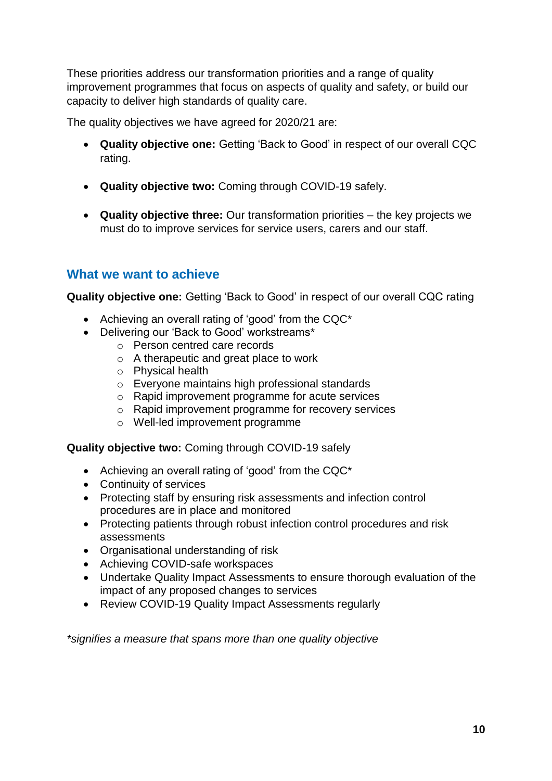These priorities address our transformation priorities and a range of quality improvement programmes that focus on aspects of quality and safety, or build our capacity to deliver high standards of quality care.

The quality objectives we have agreed for 2020/21 are:

- **Quality objective one:** Getting 'Back to Good' in respect of our overall CQC rating.
- **Quality objective two:** Coming through COVID-19 safely.
- **Quality objective three:** Our transformation priorities the key projects we must do to improve services for service users, carers and our staff.

# **What we want to achieve**

**Quality objective one:** Getting 'Back to Good' in respect of our overall CQC rating

- Achieving an overall rating of 'good' from the CQC\*
- Delivering our 'Back to Good' workstreams\*
	- o Person centred care records
	- o A therapeutic and great place to work
	- o Physical health
	- o Everyone maintains high professional standards
	- o Rapid improvement programme for acute services
	- o Rapid improvement programme for recovery services
	- o Well-led improvement programme

**Quality objective two:** Coming through COVID-19 safely

- Achieving an overall rating of 'good' from the CQC\*
- Continuity of services
- Protecting staff by ensuring risk assessments and infection control procedures are in place and monitored
- Protecting patients through robust infection control procedures and risk assessments
- Organisational understanding of risk
- Achieving COVID-safe workspaces
- Undertake Quality Impact Assessments to ensure thorough evaluation of the impact of any proposed changes to services
- Review COVID-19 Quality Impact Assessments regularly

*\*signifies a measure that spans more than one quality objective*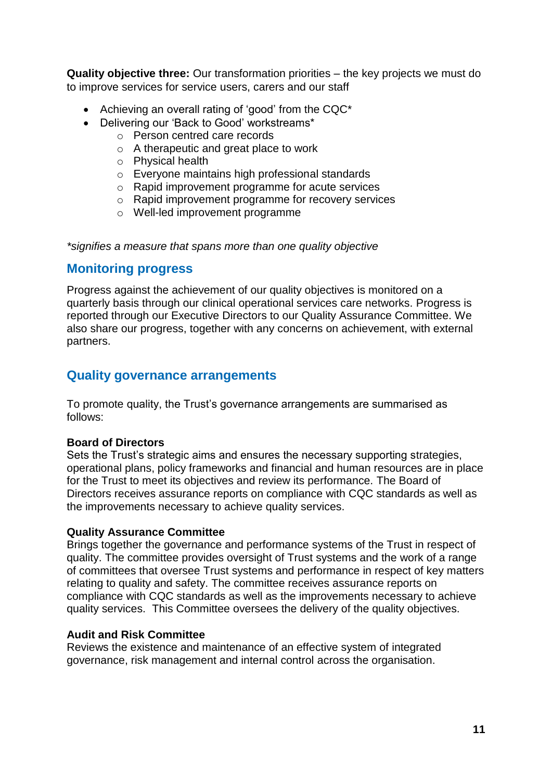**Quality objective three:** Our transformation priorities – the key projects we must do to improve services for service users, carers and our staff

- Achieving an overall rating of 'good' from the CQC\*
- Delivering our 'Back to Good' workstreams\*
	- o Person centred care records
	- o A therapeutic and great place to work
	- o Physical health
	- o Everyone maintains high professional standards
	- o Rapid improvement programme for acute services
	- o Rapid improvement programme for recovery services
	- o Well-led improvement programme

*\*signifies a measure that spans more than one quality objective*

# **Monitoring progress**

Progress against the achievement of our quality objectives is monitored on a quarterly basis through our clinical operational services care networks. Progress is reported through our Executive Directors to our Quality Assurance Committee. We also share our progress, together with any concerns on achievement, with external partners.

# **Quality governance arrangements**

To promote quality, the Trust's governance arrangements are summarised as follows:

#### **Board of Directors**

Sets the Trust's strategic aims and ensures the necessary supporting strategies, operational plans, policy frameworks and financial and human resources are in place for the Trust to meet its objectives and review its performance. The Board of Directors receives assurance reports on compliance with CQC standards as well as the improvements necessary to achieve quality services.

#### **Quality Assurance Committee**

Brings together the governance and performance systems of the Trust in respect of quality. The committee provides oversight of Trust systems and the work of a range of committees that oversee Trust systems and performance in respect of key matters relating to quality and safety. The committee receives assurance reports on compliance with CQC standards as well as the improvements necessary to achieve quality services. This Committee oversees the delivery of the quality objectives.

#### **Audit and Risk Committee**

Reviews the existence and maintenance of an effective system of integrated governance, risk management and internal control across the organisation.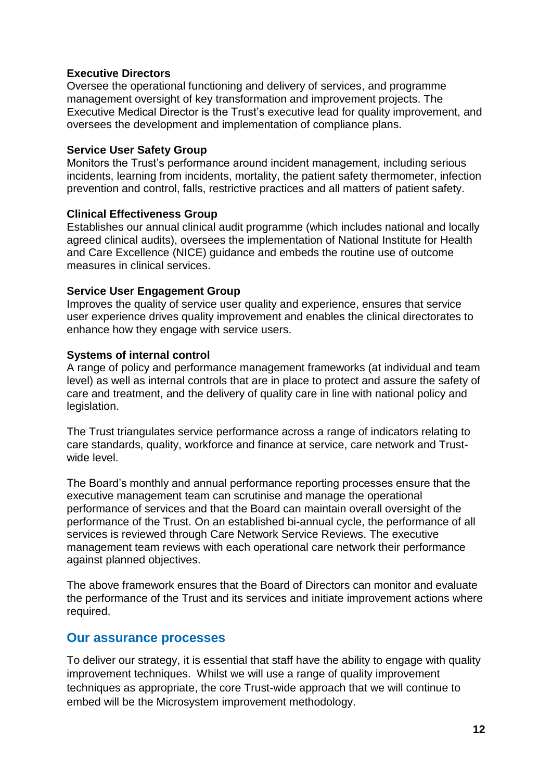#### **Executive Directors**

Oversee the operational functioning and delivery of services, and programme management oversight of key transformation and improvement projects. The Executive Medical Director is the Trust's executive lead for quality improvement, and oversees the development and implementation of compliance plans.

#### **Service User Safety Group**

Monitors the Trust's performance around incident management, including serious incidents, learning from incidents, mortality, the patient safety thermometer, infection prevention and control, falls, restrictive practices and all matters of patient safety.

#### **Clinical Effectiveness Group**

Establishes our annual clinical audit programme (which includes national and locally agreed clinical audits), oversees the implementation of National Institute for Health and Care Excellence (NICE) guidance and embeds the routine use of outcome measures in clinical services.

#### **Service User Engagement Group**

Improves the quality of service user quality and experience, ensures that service user experience drives quality improvement and enables the clinical directorates to enhance how they engage with service users.

#### **Systems of internal control**

A range of policy and performance management frameworks (at individual and team level) as well as internal controls that are in place to protect and assure the safety of care and treatment, and the delivery of quality care in line with national policy and legislation.

The Trust triangulates service performance across a range of indicators relating to care standards, quality, workforce and finance at service, care network and Trustwide level.

The Board's monthly and annual performance reporting processes ensure that the executive management team can scrutinise and manage the operational performance of services and that the Board can maintain overall oversight of the performance of the Trust. On an established bi-annual cycle, the performance of all services is reviewed through Care Network Service Reviews. The executive management team reviews with each operational care network their performance against planned objectives.

The above framework ensures that the Board of Directors can monitor and evaluate the performance of the Trust and its services and initiate improvement actions where required.

# **Our assurance processes**

To deliver our strategy, it is essential that staff have the ability to engage with quality improvement techniques. Whilst we will use a range of quality improvement techniques as appropriate, the core Trust-wide approach that we will continue to embed will be the Microsystem improvement methodology.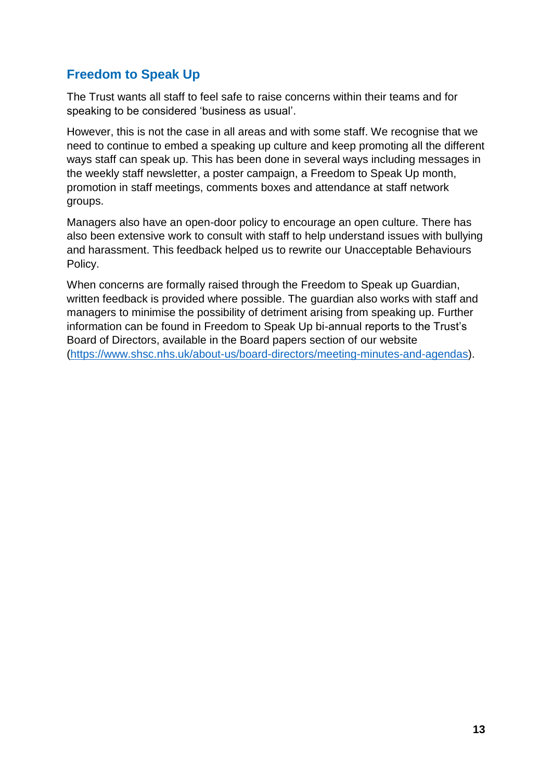# **Freedom to Speak Up**

The Trust wants all staff to feel safe to raise concerns within their teams and for speaking to be considered 'business as usual'.

However, this is not the case in all areas and with some staff. We recognise that we need to continue to embed a speaking up culture and keep promoting all the different ways staff can speak up. This has been done in several ways including messages in the weekly staff newsletter, a poster campaign, a Freedom to Speak Up month, promotion in staff meetings, comments boxes and attendance at staff network groups.

Managers also have an open-door policy to encourage an open culture. There has also been extensive work to consult with staff to help understand issues with bullying and harassment. This feedback helped us to rewrite our Unacceptable Behaviours Policy.

When concerns are formally raised through the Freedom to Speak up Guardian, written feedback is provided where possible. The guardian also works with staff and managers to minimise the possibility of detriment arising from speaking up. Further information can be found in Freedom to Speak Up bi-annual reports to the Trust's Board of Directors, available in the Board papers section of our website [\(https://www.shsc.nhs.uk/about-us/board-directors/meeting-minutes-and-agendas\)](https://www.shsc.nhs.uk/about-us/board-directors/meeting-minutes-and-agendas).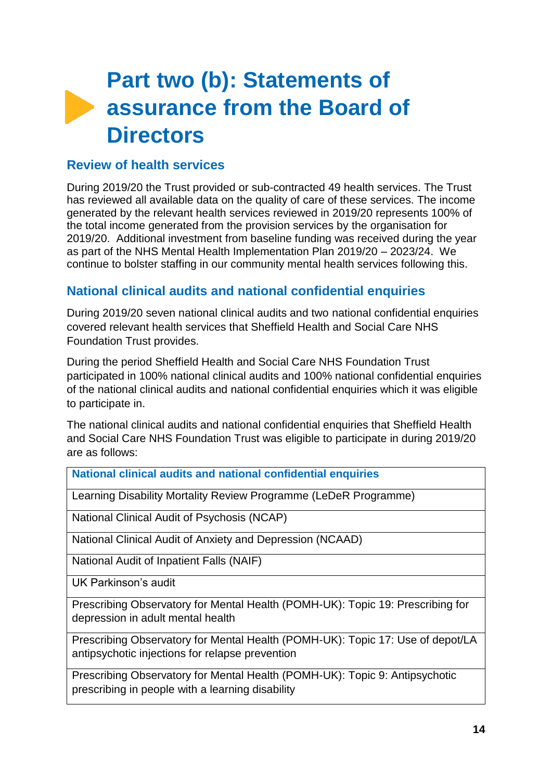# **Part two (b): Statements of assurance from the Board of Directors**

# **Review of health services**

During 2019/20 the Trust provided or sub-contracted 49 health services. The Trust has reviewed all available data on the quality of care of these services. The income generated by the relevant health services reviewed in 2019/20 represents 100% of the total income generated from the provision services by the organisation for 2019/20. Additional investment from baseline funding was received during the year as part of the NHS Mental Health Implementation Plan 2019/20 – 2023/24. We continue to bolster staffing in our community mental health services following this.

# **National clinical audits and national confidential enquiries**

During 2019/20 seven national clinical audits and two national confidential enquiries covered relevant health services that Sheffield Health and Social Care NHS Foundation Trust provides.

During the period Sheffield Health and Social Care NHS Foundation Trust participated in 100% national clinical audits and 100% national confidential enquiries of the national clinical audits and national confidential enquiries which it was eligible to participate in.

The national clinical audits and national confidential enquiries that Sheffield Health and Social Care NHS Foundation Trust was eligible to participate in during 2019/20 are as follows:

**National clinical audits and national confidential enquiries**

Learning Disability Mortality Review Programme (LeDeR Programme)

National Clinical Audit of Psychosis (NCAP)

National Clinical Audit of Anxiety and Depression (NCAAD)

National Audit of Inpatient Falls (NAIF)

UK Parkinson's audit

Prescribing Observatory for Mental Health (POMH-UK): Topic 19: Prescribing for depression in adult mental health

Prescribing Observatory for Mental Health (POMH-UK): Topic 17: Use of depot/LA antipsychotic injections for relapse prevention

Prescribing Observatory for Mental Health (POMH-UK): Topic 9: Antipsychotic prescribing in people with a learning disability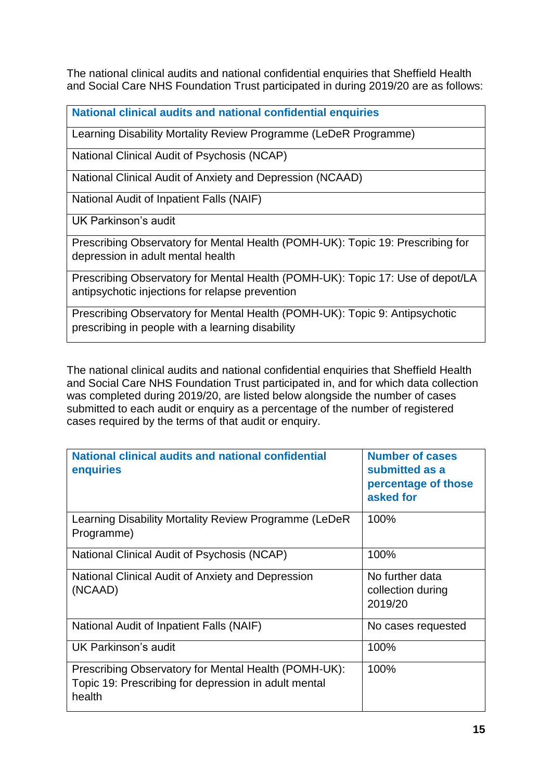The national clinical audits and national confidential enquiries that Sheffield Health and Social Care NHS Foundation Trust participated in during 2019/20 are as follows:

**National clinical audits and national confidential enquiries**

Learning Disability Mortality Review Programme (LeDeR Programme)

National Clinical Audit of Psychosis (NCAP)

National Clinical Audit of Anxiety and Depression (NCAAD)

National Audit of Inpatient Falls (NAIF)

UK Parkinson's audit

Prescribing Observatory for Mental Health (POMH-UK): Topic 19: Prescribing for depression in adult mental health

Prescribing Observatory for Mental Health (POMH-UK): Topic 17: Use of depot/LA antipsychotic injections for relapse prevention

Prescribing Observatory for Mental Health (POMH-UK): Topic 9: Antipsychotic prescribing in people with a learning disability

The national clinical audits and national confidential enquiries that Sheffield Health and Social Care NHS Foundation Trust participated in, and for which data collection was completed during 2019/20, are listed below alongside the number of cases submitted to each audit or enquiry as a percentage of the number of registered cases required by the terms of that audit or enquiry.

| National clinical audits and national confidential<br>enquiries                                                        | <b>Number of cases</b><br>submitted as a<br>percentage of those<br>asked for |
|------------------------------------------------------------------------------------------------------------------------|------------------------------------------------------------------------------|
| Learning Disability Mortality Review Programme (LeDeR<br>Programme)                                                    | 100%                                                                         |
| National Clinical Audit of Psychosis (NCAP)                                                                            | 100%                                                                         |
| National Clinical Audit of Anxiety and Depression<br>(NCAAD)                                                           | No further data<br>collection during<br>2019/20                              |
| National Audit of Inpatient Falls (NAIF)                                                                               | No cases requested                                                           |
| UK Parkinson's audit                                                                                                   | 100%                                                                         |
| Prescribing Observatory for Mental Health (POMH-UK):<br>Topic 19: Prescribing for depression in adult mental<br>health | 100%                                                                         |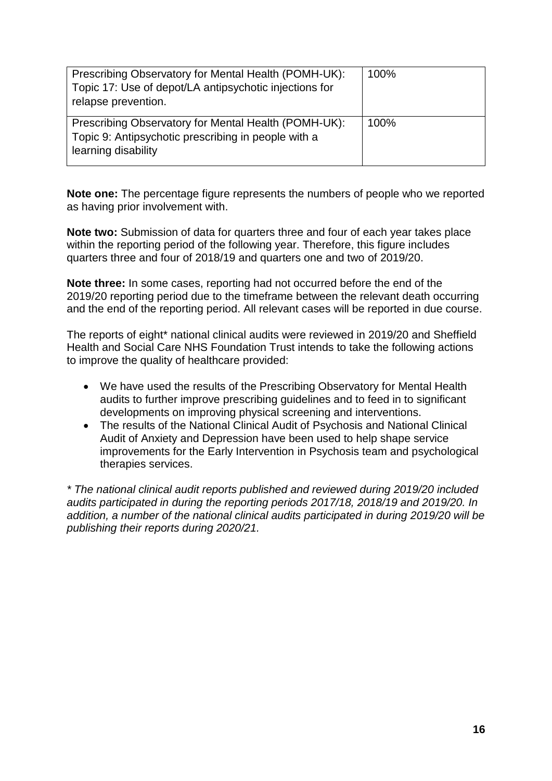| Prescribing Observatory for Mental Health (POMH-UK):<br>Topic 17: Use of depot/LA antipsychotic injections for<br>relapse prevention. | 100% |
|---------------------------------------------------------------------------------------------------------------------------------------|------|
| Prescribing Observatory for Mental Health (POMH-UK):<br>Topic 9: Antipsychotic prescribing in people with a<br>learning disability    | 100% |

**Note one:** The percentage figure represents the numbers of people who we reported as having prior involvement with.

**Note two:** Submission of data for quarters three and four of each year takes place within the reporting period of the following year. Therefore, this figure includes quarters three and four of 2018/19 and quarters one and two of 2019/20.

**Note three:** In some cases, reporting had not occurred before the end of the 2019/20 reporting period due to the timeframe between the relevant death occurring and the end of the reporting period. All relevant cases will be reported in due course.

The reports of eight\* national clinical audits were reviewed in 2019/20 and Sheffield Health and Social Care NHS Foundation Trust intends to take the following actions to improve the quality of healthcare provided:

- We have used the results of the Prescribing Observatory for Mental Health audits to further improve prescribing guidelines and to feed in to significant developments on improving physical screening and interventions.
- The results of the National Clinical Audit of Psychosis and National Clinical Audit of Anxiety and Depression have been used to help shape service improvements for the Early Intervention in Psychosis team and psychological therapies services.

*\* The national clinical audit reports published and reviewed during 2019/20 included audits participated in during the reporting periods 2017/18, 2018/19 and 2019/20. In addition, a number of the national clinical audits participated in during 2019/20 will be publishing their reports during 2020/21.*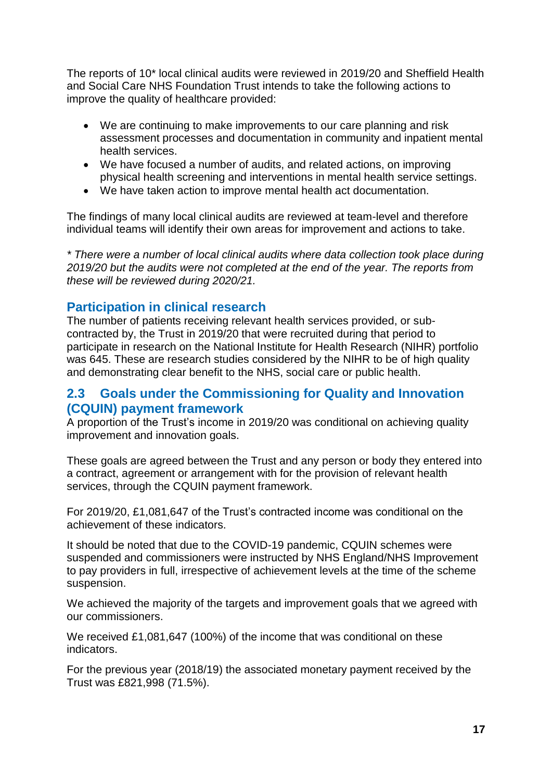The reports of 10\* local clinical audits were reviewed in 2019/20 and Sheffield Health and Social Care NHS Foundation Trust intends to take the following actions to improve the quality of healthcare provided:

- We are continuing to make improvements to our care planning and risk assessment processes and documentation in community and inpatient mental health services.
- We have focused a number of audits, and related actions, on improving physical health screening and interventions in mental health service settings.
- We have taken action to improve mental health act documentation.

The findings of many local clinical audits are reviewed at team-level and therefore individual teams will identify their own areas for improvement and actions to take.

*\* There were a number of local clinical audits where data collection took place during 2019/20 but the audits were not completed at the end of the year. The reports from these will be reviewed during 2020/21.*

# **Participation in clinical research**

The number of patients receiving relevant health services provided, or subcontracted by, the Trust in 2019/20 that were recruited during that period to participate in research on the National Institute for Health Research (NIHR) portfolio was 645. These are research studies considered by the NIHR to be of high quality and demonstrating clear benefit to the NHS, social care or public health.

# **2.3 Goals under the Commissioning for Quality and Innovation (CQUIN) payment framework**

A proportion of the Trust's income in 2019/20 was conditional on achieving quality improvement and innovation goals.

These goals are agreed between the Trust and any person or body they entered into a contract, agreement or arrangement with for the provision of relevant health services, through the CQUIN payment framework.

For 2019/20, £1,081,647 of the Trust's contracted income was conditional on the achievement of these indicators.

It should be noted that due to the COVID-19 pandemic, CQUIN schemes were suspended and commissioners were instructed by NHS England/NHS Improvement to pay providers in full, irrespective of achievement levels at the time of the scheme suspension.

We achieved the majority of the targets and improvement goals that we agreed with our commissioners.

We received £1,081,647 (100%) of the income that was conditional on these indicators.

For the previous year (2018/19) the associated monetary payment received by the Trust was £821,998 (71.5%).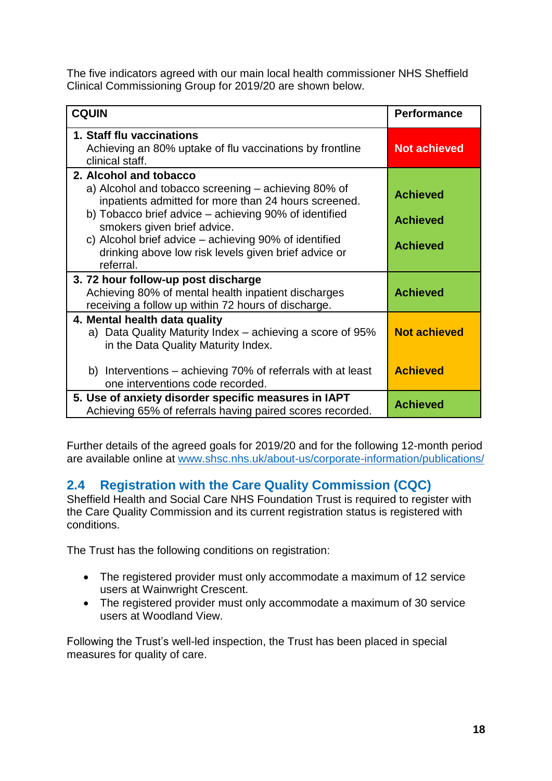The five indicators agreed with our main local health commissioner NHS Sheffield Clinical Commissioning Group for 2019/20 are shown below.

| <b>CQUIN</b>                                                                                                                                     | <b>Performance</b>  |
|--------------------------------------------------------------------------------------------------------------------------------------------------|---------------------|
| 1. Staff flu vaccinations<br>Achieving an 80% uptake of flu vaccinations by frontline<br>clinical staff.                                         | <b>Not achieved</b> |
| 2. Alcohol and tobacco<br>a) Alcohol and tobacco screening - achieving 80% of<br>inpatients admitted for more than 24 hours screened.            | <b>Achieved</b>     |
| b) Tobacco brief advice – achieving 90% of identified<br>smokers given brief advice.<br>c) Alcohol brief advice – achieving 90% of identified    | <b>Achieved</b>     |
| drinking above low risk levels given brief advice or<br>referral.                                                                                | <b>Achieved</b>     |
| 3.72 hour follow-up post discharge<br>Achieving 80% of mental health inpatient discharges<br>receiving a follow up within 72 hours of discharge. | <b>Achieved</b>     |
| 4. Mental health data quality<br>Data Quality Maturity Index – achieving a score of 95%<br>a)<br>in the Data Quality Maturity Index.             | <b>Not achieved</b> |
| b) Interventions – achieving 70% of referrals with at least<br>one interventions code recorded.                                                  | <b>Achieved</b>     |
| 5. Use of anxiety disorder specific measures in IAPT<br>Achieving 65% of referrals having paired scores recorded.                                | <b>Achieved</b>     |

Further details of the agreed goals for 2019/20 and for the following 12-month period are available online at [www.shsc.nhs.uk/about-us/corporate-information/publications/](http://www.shsc.nhs.uk/about-us/corporate-information/publications/)

# **2.4 Registration with the Care Quality Commission (CQC)**

Sheffield Health and Social Care NHS Foundation Trust is required to register with the Care Quality Commission and its current registration status is registered with conditions.

The Trust has the following conditions on registration:

- The registered provider must only accommodate a maximum of 12 service users at Wainwright Crescent.
- The registered provider must only accommodate a maximum of 30 service users at Woodland View.

Following the Trust's well-led inspection, the Trust has been placed in special measures for quality of care.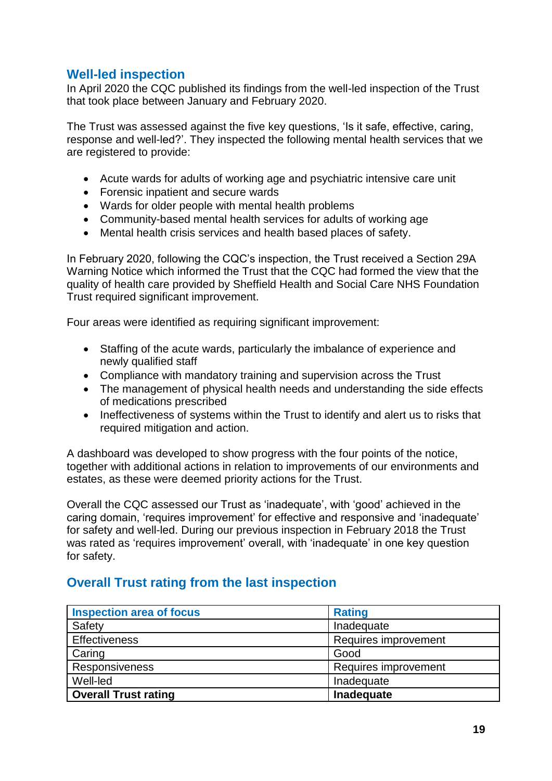# **Well-led inspection**

In April 2020 the CQC published its findings from the well-led inspection of the Trust that took place between January and February 2020.

The Trust was assessed against the five key questions, 'Is it safe, effective, caring, response and well-led?'. They inspected the following mental health services that we are registered to provide:

- Acute wards for adults of working age and psychiatric intensive care unit
- Forensic inpatient and secure wards
- Wards for older people with mental health problems
- Community-based mental health services for adults of working age
- Mental health crisis services and health based places of safety.

In February 2020, following the CQC's inspection, the Trust received a Section 29A Warning Notice which informed the Trust that the CQC had formed the view that the quality of health care provided by Sheffield Health and Social Care NHS Foundation Trust required significant improvement.

Four areas were identified as requiring significant improvement:

- Staffing of the acute wards, particularly the imbalance of experience and newly qualified staff
- Compliance with mandatory training and supervision across the Trust
- The management of physical health needs and understanding the side effects of medications prescribed
- Ineffectiveness of systems within the Trust to identify and alert us to risks that required mitigation and action.

A dashboard was developed to show progress with the four points of the notice, together with additional actions in relation to improvements of our environments and estates, as these were deemed priority actions for the Trust.

Overall the CQC assessed our Trust as 'inadequate', with 'good' achieved in the caring domain, 'requires improvement' for effective and responsive and 'inadequate' for safety and well-led. During our previous inspection in February 2018 the Trust was rated as 'requires improvement' overall, with 'inadequate' in one key question for safety.

# **Overall Trust rating from the last inspection**

| <b>Inspection area of focus</b> | <b>Rating</b>        |  |
|---------------------------------|----------------------|--|
| Safety                          | Inadequate           |  |
| Effectiveness                   | Requires improvement |  |
| Caring                          | Good                 |  |
| Responsiveness                  | Requires improvement |  |
| Well-led                        | Inadequate           |  |
| <b>Overall Trust rating</b>     | Inadequate           |  |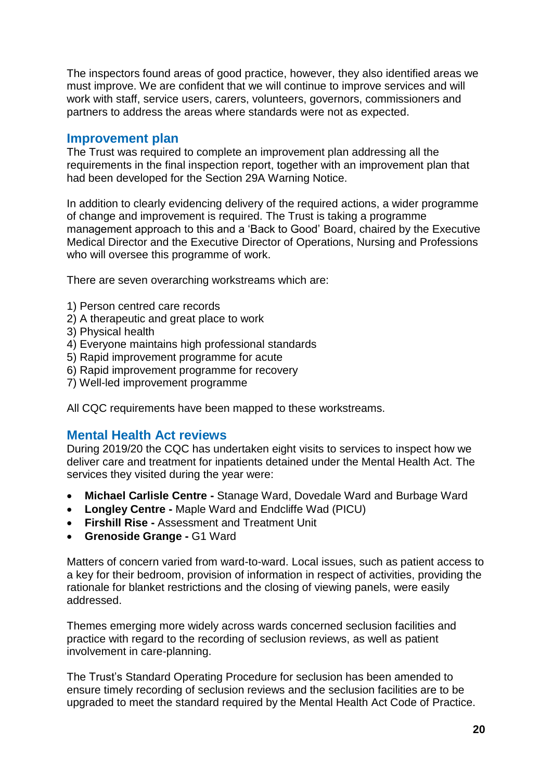The inspectors found areas of good practice, however, they also identified areas we must improve. We are confident that we will continue to improve services and will work with staff, service users, carers, volunteers, governors, commissioners and partners to address the areas where standards were not as expected.

# **Improvement plan**

The Trust was required to complete an improvement plan addressing all the requirements in the final inspection report, together with an improvement plan that had been developed for the Section 29A Warning Notice.

In addition to clearly evidencing delivery of the required actions, a wider programme of change and improvement is required. The Trust is taking a programme management approach to this and a 'Back to Good' Board, chaired by the Executive Medical Director and the Executive Director of Operations, Nursing and Professions who will oversee this programme of work.

There are seven overarching workstreams which are:

- 1) Person centred care records
- 2) A therapeutic and great place to work
- 3) Physical health
- 4) Everyone maintains high professional standards
- 5) Rapid improvement programme for acute
- 6) Rapid improvement programme for recovery
- 7) Well-led improvement programme

All CQC requirements have been mapped to these workstreams.

# **Mental Health Act reviews**

During 2019/20 the CQC has undertaken eight visits to services to inspect how we deliver care and treatment for inpatients detained under the Mental Health Act. The services they visited during the year were:

- **Michael Carlisle Centre -** Stanage Ward, Dovedale Ward and Burbage Ward
- **Longley Centre -** Maple Ward and Endcliffe Wad (PICU)
- **Firshill Rise -** Assessment and Treatment Unit
- **Grenoside Grange -** G1 Ward

Matters of concern varied from ward-to-ward. Local issues, such as patient access to a key for their bedroom, provision of information in respect of activities, providing the rationale for blanket restrictions and the closing of viewing panels, were easily addressed.

Themes emerging more widely across wards concerned seclusion facilities and practice with regard to the recording of seclusion reviews, as well as patient involvement in care-planning.

The Trust's Standard Operating Procedure for seclusion has been amended to ensure timely recording of seclusion reviews and the seclusion facilities are to be upgraded to meet the standard required by the Mental Health Act Code of Practice.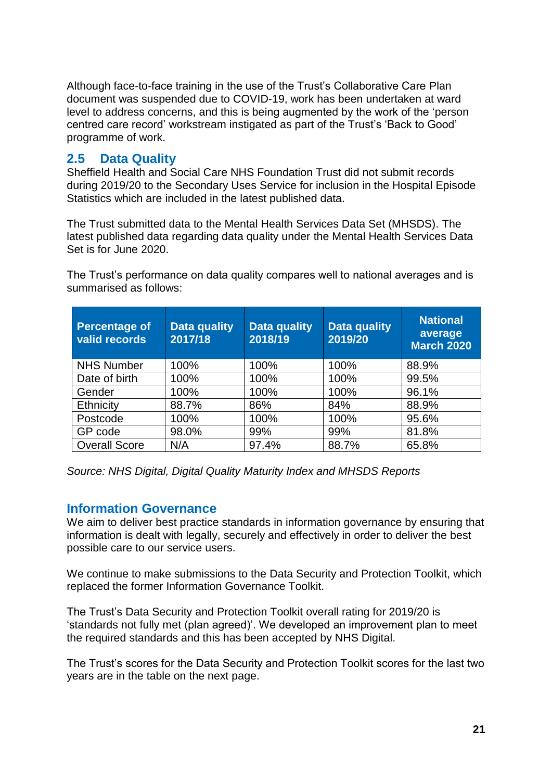Although face-to-face training in the use of the Trust's Collaborative Care Plan document was suspended due to COVID-19, work has been undertaken at ward level to address concerns, and this is being augmented by the work of the 'person centred care record' workstream instigated as part of the Trust's 'Back to Good' programme of work.

# **2.5 Data Quality**

Sheffield Health and Social Care NHS Foundation Trust did not submit records during 2019/20 to the Secondary Uses Service for inclusion in the Hospital Episode Statistics which are included in the latest published data.

The Trust submitted data to the Mental Health Services Data Set (MHSDS). The latest published data regarding data quality under the Mental Health Services Data Set is for June 2020.

The Trust's performance on data quality compares well to national averages and is summarised as follows:

| <b>Percentage of</b><br>valid records | Data quality<br>2017/18 | <b>Data quality</b><br>2018/19 | <b>Data quality</b><br>2019/20 | <b>National</b><br>average<br><b>March 2020</b> |
|---------------------------------------|-------------------------|--------------------------------|--------------------------------|-------------------------------------------------|
| <b>NHS Number</b>                     | 100%                    | 100%                           | 100%                           | 88.9%                                           |
| Date of birth                         | 100%                    | 100%                           | 100%                           | 99.5%                                           |
| Gender                                | 100%                    | 100%                           | 100%                           | 96.1%                                           |
| Ethnicity                             | 88.7%                   | 86%                            | 84%                            | 88.9%                                           |
| Postcode                              | 100%                    | 100%                           | 100%                           | 95.6%                                           |
| GP code                               | 98.0%                   | 99%                            | 99%                            | 81.8%                                           |
| <b>Overall Score</b>                  | N/A                     | 97.4%                          | 88.7%                          | 65.8%                                           |

*Source: NHS Digital, Digital Quality Maturity Index and MHSDS Reports*

# **Information Governance**

We aim to deliver best practice standards in information governance by ensuring that information is dealt with legally, securely and effectively in order to deliver the best possible care to our service users.

We continue to make submissions to the Data Security and Protection Toolkit, which replaced the former Information Governance Toolkit.

The Trust's Data Security and Protection Toolkit overall rating for 2019/20 is 'standards not fully met (plan agreed)'. We developed an improvement plan to meet the required standards and this has been accepted by NHS Digital.

The Trust's scores for the Data Security and Protection Toolkit scores for the last two years are in the table on the next page.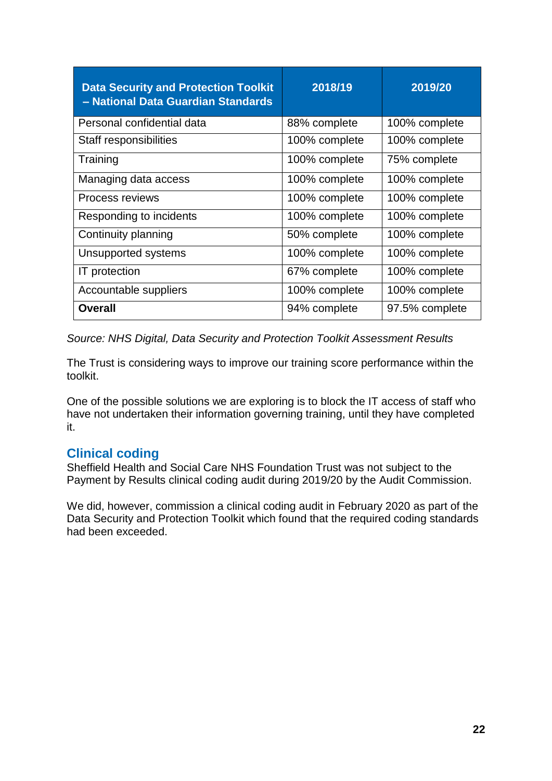| <b>Data Security and Protection Toolkit</b><br>- National Data Guardian Standards | 2018/19       | 2019/20        |
|-----------------------------------------------------------------------------------|---------------|----------------|
| Personal confidential data                                                        | 88% complete  | 100% complete  |
| Staff responsibilities                                                            | 100% complete | 100% complete  |
| Training                                                                          | 100% complete | 75% complete   |
| Managing data access                                                              | 100% complete | 100% complete  |
| Process reviews                                                                   | 100% complete | 100% complete  |
| Responding to incidents                                                           | 100% complete | 100% complete  |
| Continuity planning                                                               | 50% complete  | 100% complete  |
| Unsupported systems                                                               | 100% complete | 100% complete  |
| <b>IT</b> protection                                                              | 67% complete  | 100% complete  |
| Accountable suppliers                                                             | 100% complete | 100% complete  |
| <b>Overall</b>                                                                    | 94% complete  | 97.5% complete |

*Source: NHS Digital, Data Security and Protection Toolkit Assessment Results*

The Trust is considering ways to improve our training score performance within the toolkit.

One of the possible solutions we are exploring is to block the IT access of staff who have not undertaken their information governing training, until they have completed it.

# **Clinical coding**

Sheffield Health and Social Care NHS Foundation Trust was not subject to the Payment by Results clinical coding audit during 2019/20 by the Audit Commission.

We did, however, commission a clinical coding audit in February 2020 as part of the Data Security and Protection Toolkit which found that the required coding standards had been exceeded.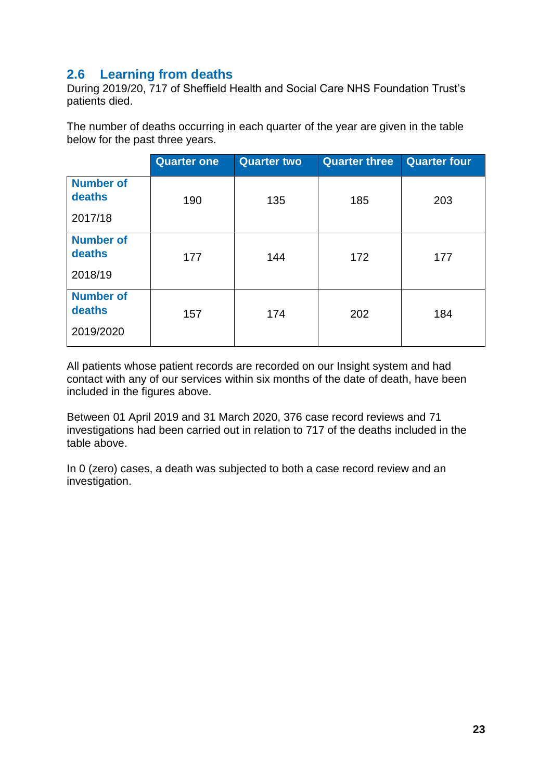# **2.6 Learning from deaths**

During 2019/20, 717 of Sheffield Health and Social Care NHS Foundation Trust's patients died.

The number of deaths occurring in each quarter of the year are given in the table below for the past three years.

| <b>Quarter one</b> | <b>Quarter two</b> | <b>Quarter three</b> | <b>Quarter four</b> |
|--------------------|--------------------|----------------------|---------------------|
|                    |                    |                      | 203                 |
|                    |                    |                      |                     |
| 177                | 144                | 172                  | 177                 |
|                    |                    |                      |                     |
| 157                | 174                | 202                  | 184                 |
|                    | 190                | 135                  | 185                 |

All patients whose patient records are recorded on our Insight system and had contact with any of our services within six months of the date of death, have been included in the figures above.

Between 01 April 2019 and 31 March 2020, 376 case record reviews and 71 investigations had been carried out in relation to 717 of the deaths included in the table above.

In 0 (zero) cases, a death was subjected to both a case record review and an investigation.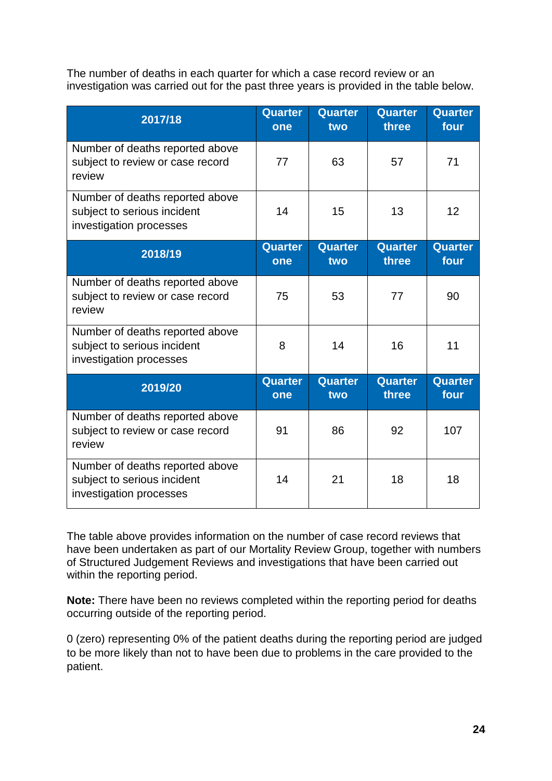The number of deaths in each quarter for which a case record review or an investigation was carried out for the past three years is provided in the table below.

| 2017/18                                                                                   | Quarter<br>one        | Quarter<br>two | <b>Quarter</b><br>three | <b>Quarter</b><br>four |
|-------------------------------------------------------------------------------------------|-----------------------|----------------|-------------------------|------------------------|
| Number of deaths reported above<br>subject to review or case record<br>review             | 77                    | 63             | 57                      | 71                     |
| Number of deaths reported above<br>subject to serious incident<br>investigation processes | 14                    | 15             | 13                      | 12                     |
| 2018/19                                                                                   | <b>Quarter</b><br>one | Quarter<br>two | Quarter<br>three        | Quarter<br>four        |
| Number of deaths reported above<br>subject to review or case record<br>review             | 75                    | 53             | 77                      | 90                     |
| Number of deaths reported above<br>subject to serious incident<br>investigation processes | 8                     | 14             | 16                      | 11                     |
| 2019/20                                                                                   | <b>Quarter</b><br>one | Quarter<br>two | <b>Quarter</b><br>three | <b>Quarter</b><br>four |
| Number of deaths reported above<br>subject to review or case record<br>review             | 91                    | 86             | 92                      | 107                    |
| Number of deaths reported above<br>subject to serious incident<br>investigation processes | 14                    | 21             | 18                      | 18                     |

The table above provides information on the number of case record reviews that have been undertaken as part of our Mortality Review Group, together with numbers of Structured Judgement Reviews and investigations that have been carried out within the reporting period.

**Note:** There have been no reviews completed within the reporting period for deaths occurring outside of the reporting period.

0 (zero) representing 0% of the patient deaths during the reporting period are judged to be more likely than not to have been due to problems in the care provided to the patient.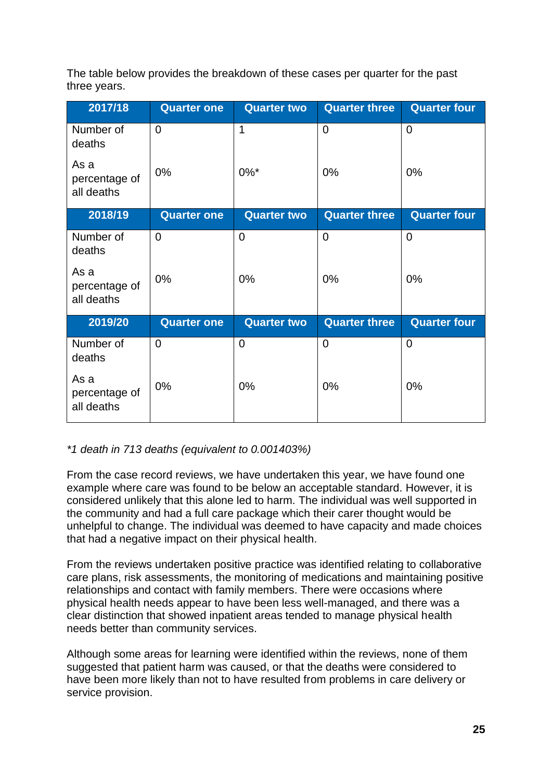The table below provides the breakdown of these cases per quarter for the past three years.

| 2017/18                             | <b>Quarter one</b> | <b>Quarter two</b> | <b>Quarter three</b> | <b>Quarter four</b> |
|-------------------------------------|--------------------|--------------------|----------------------|---------------------|
| Number of<br>deaths                 | $\Omega$           | 1                  | $\overline{0}$       | $\overline{0}$      |
| As a<br>percentage of<br>all deaths | 0%                 | $0\%$ *            | 0%                   | 0%                  |
| 2018/19                             | <b>Quarter one</b> | <b>Quarter two</b> | <b>Quarter three</b> | <b>Quarter four</b> |
| Number of<br>deaths                 | $\overline{0}$     | $\overline{0}$     | $\mathbf 0$          | $\overline{0}$      |
| As a<br>percentage of<br>all deaths | 0%                 | 0%                 | $0\%$                | 0%                  |
| 2019/20                             | <b>Quarter one</b> | <b>Quarter two</b> | <b>Quarter three</b> | <b>Quarter four</b> |
| Number of<br>deaths                 | $\Omega$           | $\overline{0}$     | $\overline{0}$       | $\overline{0}$      |
| As a<br>percentage of<br>all deaths | 0%                 | 0%                 | 0%                   | 0%                  |

# *\*1 death in 713 deaths (equivalent to 0.001403%)*

From the case record reviews, we have undertaken this year, we have found one example where care was found to be below an acceptable standard. However, it is considered unlikely that this alone led to harm. The individual was well supported in the community and had a full care package which their carer thought would be unhelpful to change. The individual was deemed to have capacity and made choices that had a negative impact on their physical health.

From the reviews undertaken positive practice was identified relating to collaborative care plans, risk assessments, the monitoring of medications and maintaining positive relationships and contact with family members. There were occasions where physical health needs appear to have been less well-managed, and there was a clear distinction that showed inpatient areas tended to manage physical health needs better than community services.

Although some areas for learning were identified within the reviews, none of them suggested that patient harm was caused, or that the deaths were considered to have been more likely than not to have resulted from problems in care delivery or service provision.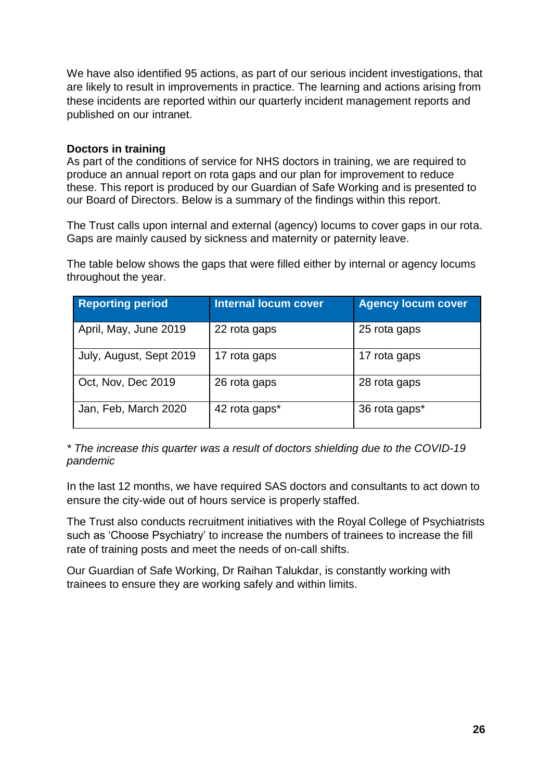We have also identified 95 actions, as part of our serious incident investigations, that are likely to result in improvements in practice. The learning and actions arising from these incidents are reported within our quarterly incident management reports and published on our intranet.

#### **Doctors in training**

As part of the conditions of service for NHS doctors in training, we are required to produce an annual report on rota gaps and our plan for improvement to reduce these. This report is produced by our Guardian of Safe Working and is presented to our Board of Directors. Below is a summary of the findings within this report.

The Trust calls upon internal and external (agency) locums to cover gaps in our rota. Gaps are mainly caused by sickness and maternity or paternity leave.

The table below shows the gaps that were filled either by internal or agency locums throughout the year.

| <b>Reporting period</b> | <b>Internal locum cover</b> | <b>Agency locum cover</b> |
|-------------------------|-----------------------------|---------------------------|
| April, May, June 2019   | 22 rota gaps                | 25 rota gaps              |
| July, August, Sept 2019 | 17 rota gaps                | 17 rota gaps              |
| Oct, Nov, Dec 2019      | 26 rota gaps                | 28 rota gaps              |
| Jan, Feb, March 2020    | 42 rota gaps*               | 36 rota gaps*             |

*\* The increase this quarter was a result of doctors shielding due to the COVID-19 pandemic*

In the last 12 months, we have required SAS doctors and consultants to act down to ensure the city-wide out of hours service is properly staffed.

The Trust also conducts recruitment initiatives with the Royal College of Psychiatrists such as 'Choose Psychiatry' to increase the numbers of trainees to increase the fill rate of training posts and meet the needs of on-call shifts.

Our Guardian of Safe Working, Dr Raihan Talukdar, is constantly working with trainees to ensure they are working safely and within limits.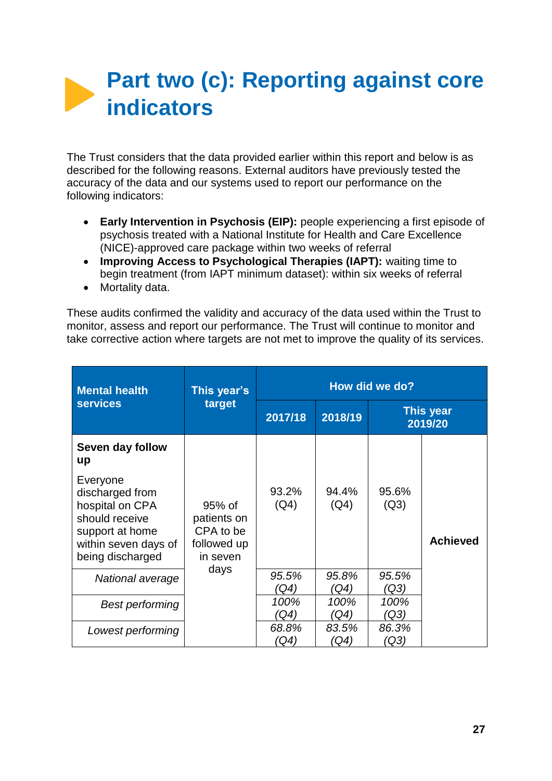# **Part two (c): Reporting against core indicators**

The Trust considers that the data provided earlier within this report and below is as described for the following reasons. External auditors have previously tested the accuracy of the data and our systems used to report our performance on the following indicators:

- **Early Intervention in Psychosis (EIP):** people experiencing a first episode of psychosis treated with a National Institute for Health and Care Excellence (NICE)-approved care package within two weeks of referral
- **Improving Access to Psychological Therapies (IAPT):** waiting time to begin treatment (from IAPT minimum dataset): within six weeks of referral
- Mortality data.

These audits confirmed the validity and accuracy of the data used within the Trust to monitor, assess and report our performance. The Trust will continue to monitor and take corrective action where targets are not met to improve the quality of its services.

| <b>Mental health</b>                                                                                                            | This year's                                                   | How did we do? |               |               |                             |  |  |
|---------------------------------------------------------------------------------------------------------------------------------|---------------------------------------------------------------|----------------|---------------|---------------|-----------------------------|--|--|
| <b>services</b>                                                                                                                 | target                                                        | 2017/18        | 2018/19       |               | <b>This year</b><br>2019/20 |  |  |
| Seven day follow<br>up                                                                                                          |                                                               |                |               |               |                             |  |  |
| Everyone<br>discharged from<br>hospital on CPA<br>should receive<br>support at home<br>within seven days of<br>being discharged | 95% of<br>patients on<br>CPA to be<br>followed up<br>in seven | 93.2%<br>(Q4)  | 94.4%<br>(Q4) | 95.6%<br>(Q3) | <b>Achieved</b>             |  |  |
| National average                                                                                                                | days                                                          | 95.5%<br>(Q4)  | 95.8%<br>(Q4) | 95.5%<br>(Q3) |                             |  |  |
| <b>Best performing</b>                                                                                                          |                                                               | 100%<br>(Q4)   | 100%<br>(Q4)  | 100%<br>(Q3   |                             |  |  |
| Lowest performing                                                                                                               |                                                               | 68.8%<br>(Q4)  | 83.5%<br>(Q4) | 86.3%<br>(Q3  |                             |  |  |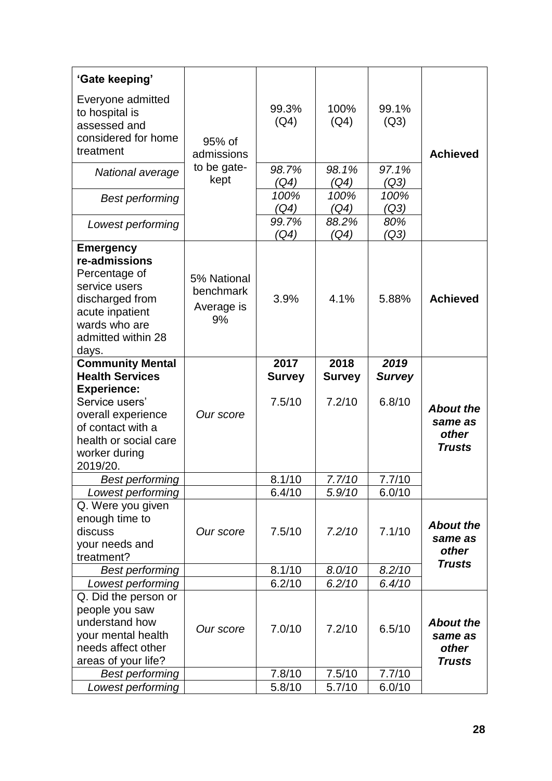| 'Gate keeping'                                                                                                                                                                             |                                              |                                 |                                 |                                 |                                                       |
|--------------------------------------------------------------------------------------------------------------------------------------------------------------------------------------------|----------------------------------------------|---------------------------------|---------------------------------|---------------------------------|-------------------------------------------------------|
| Everyone admitted<br>to hospital is<br>assessed and<br>considered for home<br>treatment                                                                                                    | 95% of<br>admissions                         | 99.3%<br>(Q4)                   | 100%<br>(Q4)                    | 99.1%<br>(Q3)                   | <b>Achieved</b>                                       |
| National average                                                                                                                                                                           | to be gate-<br>kept                          | 98.7%<br>(Q4)                   | 98.1%<br>(Q4)                   | 97.1%<br>(Q3)                   |                                                       |
| <b>Best performing</b>                                                                                                                                                                     |                                              | 100%<br>(Q4)                    | 100%<br>(Q4)                    | 100%<br>(Q3)                    |                                                       |
| Lowest performing                                                                                                                                                                          |                                              | 99.7%<br>(Q4)                   | 88.2%<br>(Q4)                   | 80%<br>(Q3)                     |                                                       |
| <b>Emergency</b><br>re-admissions<br>Percentage of<br>service users<br>discharged from<br>acute inpatient<br>wards who are<br>admitted within 28<br>days.                                  | 5% National<br>benchmark<br>Average is<br>9% | 3.9%                            | 4.1%                            | 5.88%                           | <b>Achieved</b>                                       |
| <b>Community Mental</b><br><b>Health Services</b><br><b>Experience:</b><br>Service users'<br>overall experience<br>of contact with a<br>health or social care<br>worker during<br>2019/20. | Our score                                    | 2017<br><b>Survey</b><br>7.5/10 | 2018<br><b>Survey</b><br>7.2/10 | 2019<br><b>Survey</b><br>6.8/10 | <b>About the</b><br>same as<br>other<br><b>Trusts</b> |
| <b>Best performing</b>                                                                                                                                                                     |                                              |                                 |                                 |                                 |                                                       |
|                                                                                                                                                                                            |                                              | 8.1/10                          | 7.7/10                          | 7.7/10                          |                                                       |
| Lowest performing<br>Q. Were you given<br>enough time to<br>discuss<br>your needs and<br>treatment?                                                                                        | Our score                                    | 6.4/10<br>7.5/10                | 5.9/10<br>7.2/10                | 6.0/10<br>7.1/10                | <b>About the</b><br>same as<br>other                  |
| <b>Best performing</b>                                                                                                                                                                     |                                              | 8.1/10                          | 8.0/10                          | 8.2/10                          | <b>Trusts</b>                                         |
| Lowest performing                                                                                                                                                                          |                                              | 6.2/10                          | 6.2/10                          | 6.4/10                          |                                                       |
| Q. Did the person or<br>people you saw<br>understand how<br>your mental health<br>needs affect other<br>areas of your life?                                                                | Our score                                    | 7.0/10                          | 7.2/10                          | 6.5/10                          | <b>About the</b><br>same as<br>other<br><b>Trusts</b> |
| <b>Best performing</b>                                                                                                                                                                     |                                              | 7.8/10                          | 7.5/10                          | 7.7/10                          |                                                       |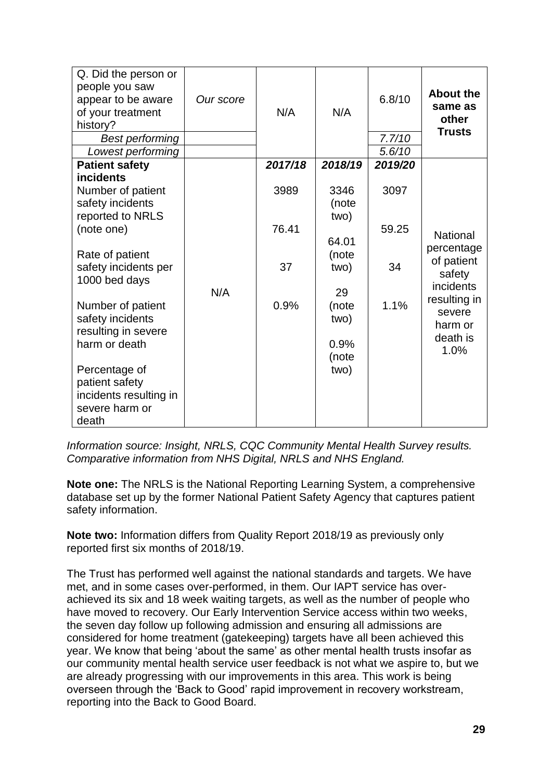| Q. Did the person or<br>people you saw<br>appear to be aware<br>of your treatment<br>history? | Our score | N/A     | N/A                         | 6.8/10           | <b>About the</b><br>same as<br>other<br><b>Trusts</b> |
|-----------------------------------------------------------------------------------------------|-----------|---------|-----------------------------|------------------|-------------------------------------------------------|
| <b>Best performing</b><br>Lowest performing                                                   |           |         |                             | 7.7/10<br>5.6/10 |                                                       |
| <b>Patient safety</b>                                                                         |           | 2017/18 | 2018/19                     | 2019/20          |                                                       |
| incidents<br>Number of patient<br>safety incidents<br>reported to NRLS                        |           | 3989    | 3346<br>(note<br>two)       | 3097             |                                                       |
| (note one)                                                                                    |           | 76.41   | 64.01                       | 59.25            | <b>National</b>                                       |
| Rate of patient<br>safety incidents per<br>1000 bed days                                      |           | 37      | (note<br>two)               | 34               | percentage<br>of patient<br>safety<br>incidents       |
| Number of patient<br>safety incidents<br>resulting in severe<br>harm or death                 | N/A       | 0.9%    | 29<br>(note<br>two)<br>0.9% | 1.1%             | resulting in<br>severe<br>harm or<br>death is<br>1.0% |
| Percentage of<br>patient safety<br>incidents resulting in<br>severe harm or<br>death          |           |         | (note<br>two)               |                  |                                                       |

*Information source: Insight, NRLS, CQC Community Mental Health Survey results. Comparative information from NHS Digital, NRLS and NHS England.*

**Note one:** The NRLS is the National Reporting Learning System, a comprehensive database set up by the former National Patient Safety Agency that captures patient safety information.

**Note two:** Information differs from Quality Report 2018/19 as previously only reported first six months of 2018/19.

The Trust has performed well against the national standards and targets. We have met, and in some cases over-performed, in them. Our IAPT service has overachieved its six and 18 week waiting targets, as well as the number of people who have moved to recovery. Our Early Intervention Service access within two weeks, the seven day follow up following admission and ensuring all admissions are considered for home treatment (gatekeeping) targets have all been achieved this year. We know that being 'about the same' as other mental health trusts insofar as our community mental health service user feedback is not what we aspire to, but we are already progressing with our improvements in this area. This work is being overseen through the 'Back to Good' rapid improvement in recovery workstream, reporting into the Back to Good Board.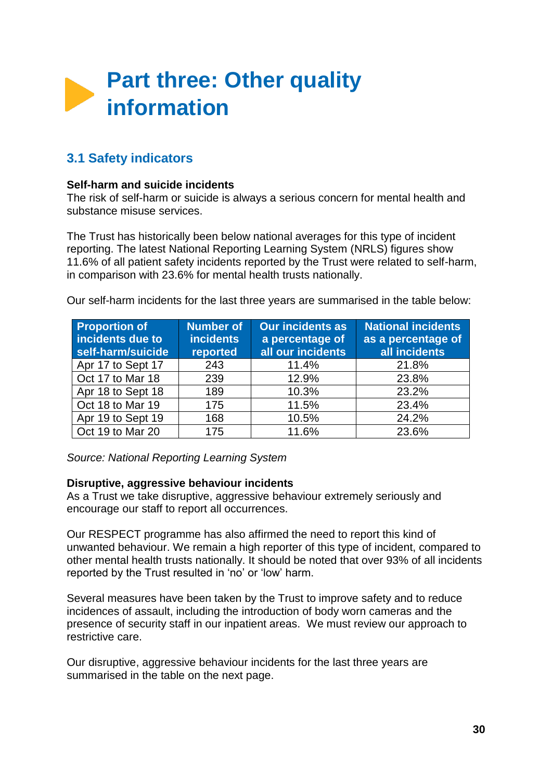

# **3.1 Safety indicators**

#### **Self-harm and suicide incidents**

The risk of self-harm or suicide is always a serious concern for mental health and substance misuse services.

The Trust has historically been below national averages for this type of incident reporting. The latest National Reporting Learning System (NRLS) figures show 11.6% of all patient safety incidents reported by the Trust were related to self-harm, in comparison with 23.6% for mental health trusts nationally.

Our self-harm incidents for the last three years are summarised in the table below:

| <b>Proportion of</b><br>incidents due to<br>self-harm/suicide | Number of<br><b>incidents</b><br>reported | <b>Our incidents as</b><br>a percentage of<br>all our incidents | <b>National incidents</b><br>as a percentage of<br>all incidents |
|---------------------------------------------------------------|-------------------------------------------|-----------------------------------------------------------------|------------------------------------------------------------------|
| Apr 17 to Sept 17                                             | 243                                       | 11.4%                                                           | 21.8%                                                            |
| Oct 17 to Mar 18                                              | 239                                       | 12.9%                                                           | 23.8%                                                            |
| Apr 18 to Sept 18                                             | 189                                       | 10.3%                                                           | 23.2%                                                            |
| Oct 18 to Mar 19                                              | 175                                       | 11.5%                                                           | 23.4%                                                            |
| Apr 19 to Sept 19                                             | 168                                       | 10.5%                                                           | 24.2%                                                            |
| Oct 19 to Mar 20                                              | 175                                       | 11.6%                                                           | 23.6%                                                            |

*Source: National Reporting Learning System*

#### **Disruptive, aggressive behaviour incidents**

As a Trust we take disruptive, aggressive behaviour extremely seriously and encourage our staff to report all occurrences.

Our RESPECT programme has also affirmed the need to report this kind of unwanted behaviour. We remain a high reporter of this type of incident, compared to other mental health trusts nationally. It should be noted that over 93% of all incidents reported by the Trust resulted in 'no' or 'low' harm.

Several measures have been taken by the Trust to improve safety and to reduce incidences of assault, including the introduction of body worn cameras and the presence of security staff in our inpatient areas. We must review our approach to restrictive care.

Our disruptive, aggressive behaviour incidents for the last three years are summarised in the table on the next page.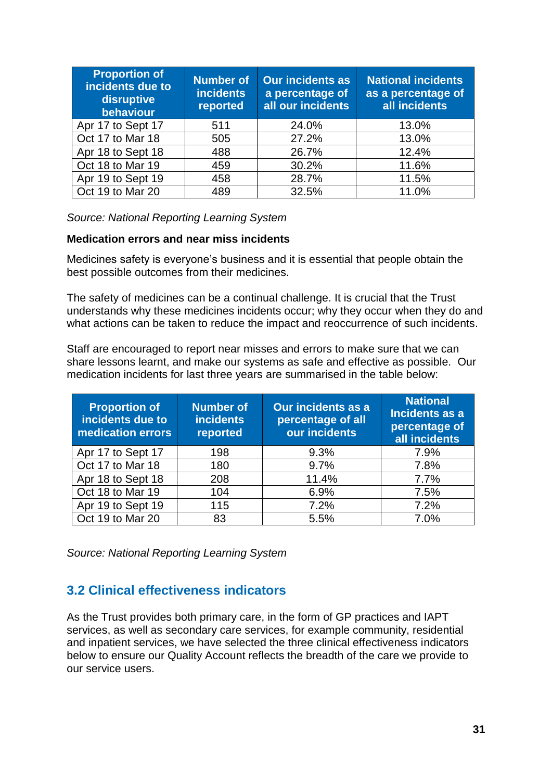| <b>Proportion of</b><br>incidents due to<br>disruptive<br>behaviour | <b>Number of</b><br><b>incidents</b><br>reported | <b>Our incidents as</b><br>a percentage of<br>all our incidents | <b>National incidents</b><br>as a percentage of<br>all incidents |
|---------------------------------------------------------------------|--------------------------------------------------|-----------------------------------------------------------------|------------------------------------------------------------------|
| Apr 17 to Sept 17                                                   | 511                                              | 24.0%                                                           | 13.0%                                                            |
| Oct 17 to Mar 18                                                    | 505                                              | 27.2%                                                           | 13.0%                                                            |
| Apr 18 to Sept 18                                                   | 488                                              | 26.7%                                                           | 12.4%                                                            |
| Oct 18 to Mar 19                                                    | 459                                              | 30.2%                                                           | 11.6%                                                            |
| Apr 19 to Sept 19                                                   | 458                                              | 28.7%                                                           | 11.5%                                                            |
| Oct 19 to Mar 20                                                    | 489                                              | 32.5%                                                           | 11.0%                                                            |

*Source: National Reporting Learning System*

#### **Medication errors and near miss incidents**

Medicines safety is everyone's business and it is essential that people obtain the best possible outcomes from their medicines.

The safety of medicines can be a continual challenge. It is crucial that the Trust understands why these medicines incidents occur; why they occur when they do and what actions can be taken to reduce the impact and reoccurrence of such incidents.

Staff are encouraged to report near misses and errors to make sure that we can share lessons learnt, and make our systems as safe and effective as possible. Our medication incidents for last three years are summarised in the table below:

| <b>Proportion of</b><br>incidents due to<br>medication errors | <b>Number of</b><br><b>incidents</b><br>reported | <b>Our incidents as a</b><br>percentage of all<br>our incidents | <b>National</b><br>Incidents as a<br>percentage of<br>all incidents |
|---------------------------------------------------------------|--------------------------------------------------|-----------------------------------------------------------------|---------------------------------------------------------------------|
| Apr 17 to Sept 17                                             | 198                                              | 9.3%                                                            | 7.9%                                                                |
| Oct 17 to Mar 18                                              | 180                                              | 9.7%                                                            | 7.8%                                                                |
| Apr 18 to Sept 18                                             | 208                                              | 11.4%                                                           | 7.7%                                                                |
| Oct 18 to Mar 19                                              | 104                                              | 6.9%                                                            | 7.5%                                                                |
| Apr 19 to Sept 19                                             | 115                                              | 7.2%                                                            | 7.2%                                                                |
| Oct 19 to Mar 20                                              | 83                                               | 5.5%                                                            | 7.0%                                                                |

*Source: National Reporting Learning System*

# **3.2 Clinical effectiveness indicators**

As the Trust provides both primary care, in the form of GP practices and IAPT services, as well as secondary care services, for example community, residential and inpatient services, we have selected the three clinical effectiveness indicators below to ensure our Quality Account reflects the breadth of the care we provide to our service users.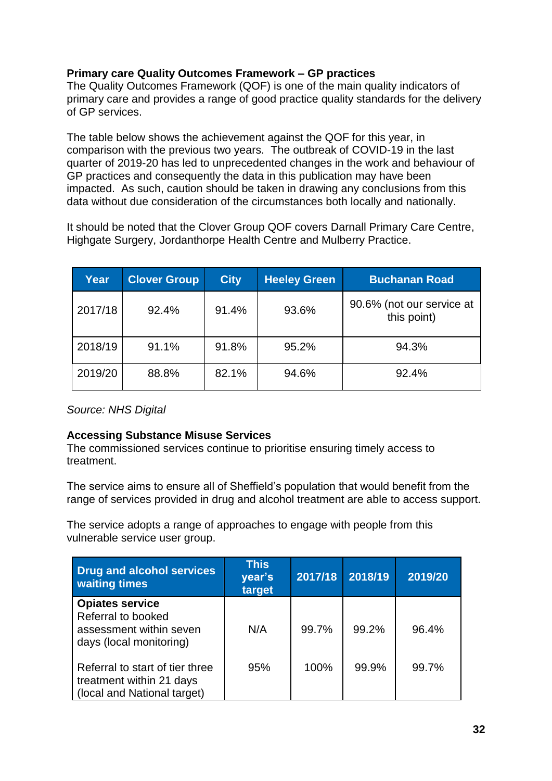# **Primary care Quality Outcomes Framework – GP practices**

The Quality Outcomes Framework (QOF) is one of the main quality indicators of primary care and provides a range of good practice quality standards for the delivery of GP services.

The table below shows the achievement against the QOF for this year, in comparison with the previous two years. The outbreak of COVID-19 in the last quarter of 2019-20 has led to unprecedented changes in the work and behaviour of GP practices and consequently the data in this publication may have been impacted. As such, caution should be taken in drawing any conclusions from this data without due consideration of the circumstances both locally and nationally.

It should be noted that the Clover Group QOF covers Darnall Primary Care Centre, Highgate Surgery, Jordanthorpe Health Centre and Mulberry Practice.

| Year    | <b>Clover Group</b> | <b>City</b> | <b>Heeley Green</b> | <b>Buchanan Road</b>                     |
|---------|---------------------|-------------|---------------------|------------------------------------------|
| 2017/18 | 92.4%               | 91.4%       | 93.6%               | 90.6% (not our service at<br>this point) |
| 2018/19 | 91.1%               | 91.8%       | 95.2%               | 94.3%                                    |
| 2019/20 | 88.8%               | 82.1%       | 94.6%               | 92.4%                                    |

*Source: NHS Digital*

# **Accessing Substance Misuse Services**

The commissioned services continue to prioritise ensuring timely access to treatment.

The service aims to ensure all of Sheffield's population that would benefit from the range of services provided in drug and alcohol treatment are able to access support.

The service adopts a range of approaches to engage with people from this vulnerable service user group.

| <b>Drug and alcohol services</b><br><b>waiting times</b>                                   | <b>This</b><br>year's<br>target | 2017/18 | 2018/19 | 2019/20 |
|--------------------------------------------------------------------------------------------|---------------------------------|---------|---------|---------|
| <b>Opiates service</b><br>Referral to booked                                               |                                 |         |         |         |
| assessment within seven<br>days (local monitoring)                                         | N/A                             | 99.7%   | 99.2%   | 96.4%   |
| Referral to start of tier three<br>treatment within 21 days<br>(local and National target) | 95%                             | 100%    | 99.9%   | 99.7%   |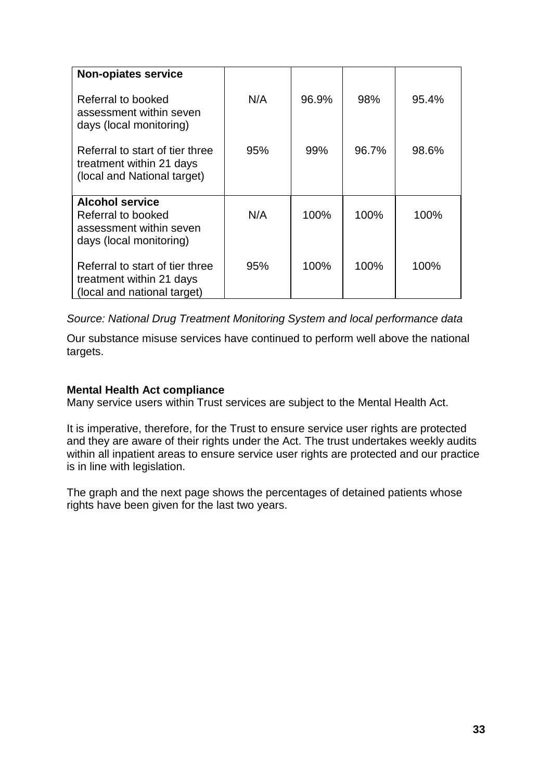| <b>Non-opiates service</b>                                                                         |     |       |       |       |
|----------------------------------------------------------------------------------------------------|-----|-------|-------|-------|
| Referral to booked<br>assessment within seven<br>days (local monitoring)                           | N/A | 96.9% | 98%   | 95.4% |
| Referral to start of tier three<br>treatment within 21 days<br>(local and National target)         | 95% | 99%   | 96.7% | 98.6% |
| <b>Alcohol service</b><br>Referral to booked<br>assessment within seven<br>days (local monitoring) | N/A | 100%  | 100%  | 100%  |
| Referral to start of tier three<br>treatment within 21 days<br>(local and national target)         | 95% | 100%  | 100%  | 100%  |

*Source: National Drug Treatment Monitoring System and local performance data*

Our substance misuse services have continued to perform well above the national targets.

#### **Mental Health Act compliance**

Many service users within Trust services are subject to the Mental Health Act.

It is imperative, therefore, for the Trust to ensure service user rights are protected and they are aware of their rights under the Act. The trust undertakes weekly audits within all inpatient areas to ensure service user rights are protected and our practice is in line with legislation.

The graph and the next page shows the percentages of detained patients whose rights have been given for the last two years.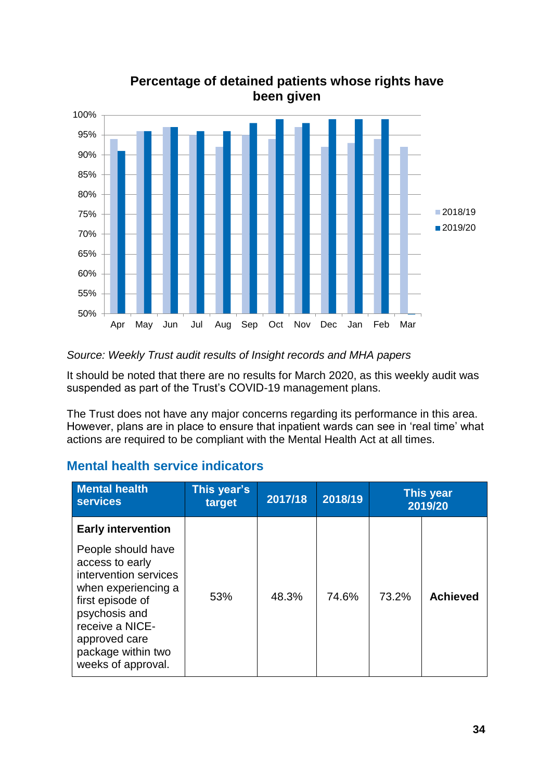

# **Percentage of detained patients whose rights have been given**

# *Source: Weekly Trust audit results of Insight records and MHA papers*

It should be noted that there are no results for March 2020, as this weekly audit was suspended as part of the Trust's COVID-19 management plans.

The Trust does not have any major concerns regarding its performance in this area. However, plans are in place to ensure that inpatient wards can see in 'real time' what actions are required to be compliant with the Mental Health Act at all times.

# **Mental health service indicators**

| <b>Mental health</b><br><b>services</b>                                                                                                                                                                                                 | This year's<br>target | 2017/18 | 2018/19 |       | <b>This year</b><br>2019/20 |
|-----------------------------------------------------------------------------------------------------------------------------------------------------------------------------------------------------------------------------------------|-----------------------|---------|---------|-------|-----------------------------|
| <b>Early intervention</b><br>People should have<br>access to early<br>intervention services<br>when experiencing a<br>first episode of<br>psychosis and<br>receive a NICE-<br>approved care<br>package within two<br>weeks of approval. | 53%                   | 48.3%   | 74.6%   | 73.2% | <b>Achieved</b>             |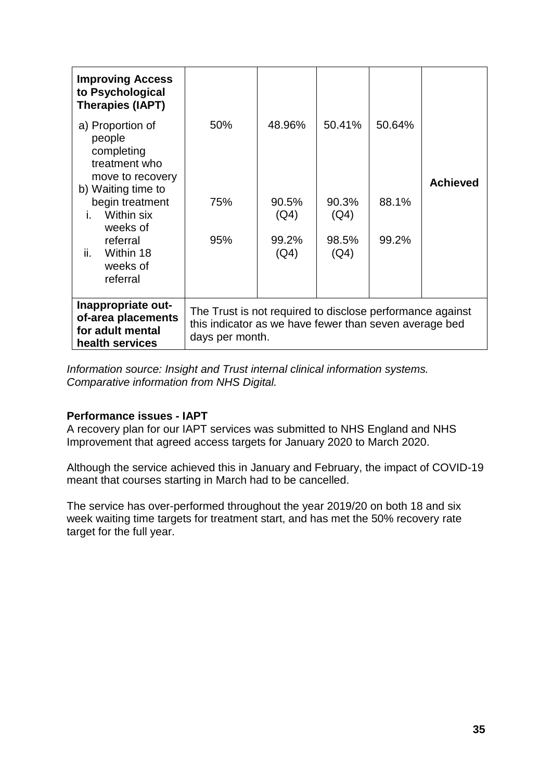| <b>Improving Access</b><br>to Psychological<br><b>Therapies (IAPT)</b>                              |                                                                                                                                        |               |               |        |                 |  |  |
|-----------------------------------------------------------------------------------------------------|----------------------------------------------------------------------------------------------------------------------------------------|---------------|---------------|--------|-----------------|--|--|
| a) Proportion of<br>people<br>completing<br>treatment who<br>move to recovery<br>b) Waiting time to | 50%                                                                                                                                    | 48.96%        | 50.41%        | 50.64% | <b>Achieved</b> |  |  |
| begin treatment<br>Within six<br>Ĺ.<br>weeks of                                                     | 75%                                                                                                                                    | 90.5%<br>(Q4) | 90.3%<br>(Q4) | 88.1%  |                 |  |  |
| referral<br>ii.<br>Within 18<br>weeks of<br>referral                                                | 95%                                                                                                                                    | 99.2%<br>(Q4) | 98.5%<br>(Q4) | 99.2%  |                 |  |  |
| Inappropriate out-<br>of-area placements<br>for adult mental<br>health services                     | The Trust is not required to disclose performance against<br>this indicator as we have fewer than seven average bed<br>days per month. |               |               |        |                 |  |  |

*Information source: Insight and Trust internal clinical information systems. Comparative information from NHS Digital.*

#### **Performance issues - IAPT**

A recovery plan for our IAPT services was submitted to NHS England and NHS Improvement that agreed access targets for January 2020 to March 2020.

Although the service achieved this in January and February, the impact of COVID-19 meant that courses starting in March had to be cancelled.

The service has over-performed throughout the year 2019/20 on both 18 and six week waiting time targets for treatment start, and has met the 50% recovery rate target for the full year.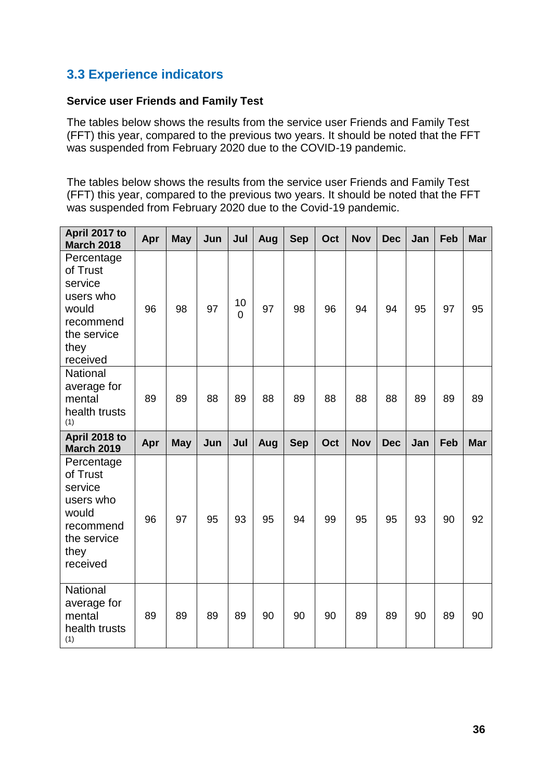# **3.3 Experience indicators**

#### **Service user Friends and Family Test**

The tables below shows the results from the service user Friends and Family Test (FFT) this year, compared to the previous two years. It should be noted that the FFT was suspended from February 2020 due to the COVID-19 pandemic.

The tables below shows the results from the service user Friends and Family Test (FFT) this year, compared to the previous two years. It should be noted that the FFT was suspended from February 2020 due to the Covid-19 pandemic.

| April 2017 to<br><b>March 2018</b>                                                                      | Apr | <b>May</b> | Jun | Jul                  | Aug | <b>Sep</b> | Oct | <b>Nov</b> | <b>Dec</b> | Jan | Feb | <b>Mar</b> |
|---------------------------------------------------------------------------------------------------------|-----|------------|-----|----------------------|-----|------------|-----|------------|------------|-----|-----|------------|
| Percentage<br>of Trust<br>service<br>users who<br>would<br>recommend<br>the service<br>they<br>received | 96  | 98         | 97  | 10<br>$\overline{0}$ | 97  | 98         | 96  | 94         | 94         | 95  | 97  | 95         |
| <b>National</b><br>average for<br>mental<br>health trusts<br>(1)                                        | 89  | 89         | 88  | 89                   | 88  | 89         | 88  | 88         | 88         | 89  | 89  | 89         |
| April 2018 to<br><b>March 2019</b>                                                                      | Apr | <b>May</b> | Jun | Jul                  | Aug | <b>Sep</b> | Oct | <b>Nov</b> | <b>Dec</b> | Jan | Feb | <b>Mar</b> |
| Percentage<br>of Trust<br>service<br>users who<br>would<br>recommend<br>the service<br>they<br>received | 96  | 97         | 95  | 93                   | 95  | 94         | 99  | 95         | 95         | 93  | 90  | 92         |
| <b>National</b><br>average for<br>mental<br>health trusts<br>(1)                                        | 89  | 89         | 89  | 89                   | 90  | 90         | 90  | 89         | 89         | 90  | 89  | 90         |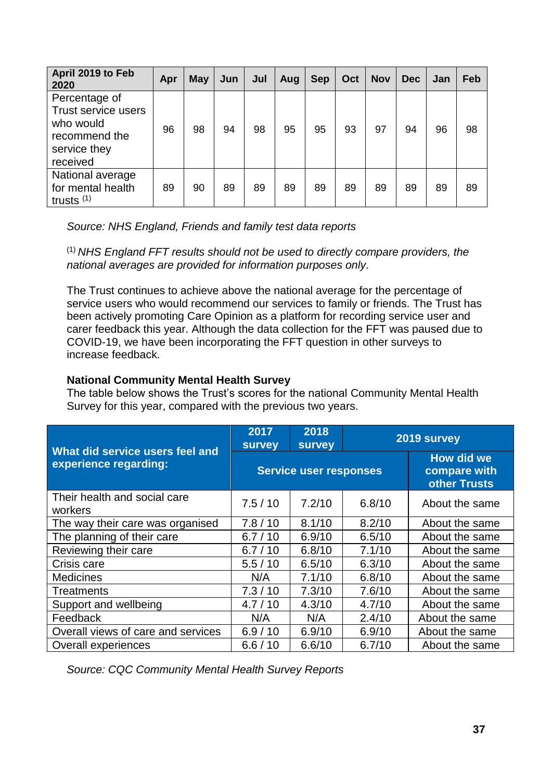| April 2019 to Feb<br>2020                                                                      | Apr | <b>May</b> | Jun | Jul | Aug | <b>Sep</b> | Oct | <b>Nov</b> | <b>Dec</b> | Jan | Feb |
|------------------------------------------------------------------------------------------------|-----|------------|-----|-----|-----|------------|-----|------------|------------|-----|-----|
| Percentage of<br>Trust service users<br>who would<br>recommend the<br>service they<br>received | 96  | 98         | 94  | 98  | 95  | 95         | 93  | 97         | 94         | 96  | 98  |
| National average<br>for mental health<br>trusts $(1)$                                          | 89  | 90         | 89  | 89  | 89  | 89         | 89  | 89         | 89         | 89  | 89  |

*Source: NHS England, Friends and family test data reports*

(1) *NHS England FFT results should not be used to directly compare providers, the national averages are provided for information purposes only.*

The Trust continues to achieve above the national average for the percentage of service users who would recommend our services to family or friends. The Trust has been actively promoting Care Opinion as a platform for recording service user and carer feedback this year. Although the data collection for the FFT was paused due to COVID-19, we have been incorporating the FFT question in other surveys to increase feedback.

# **National Community Mental Health Survey**

The table below shows the Trust's scores for the national Community Mental Health Survey for this year, compared with the previous two years.

| What did service users feel and         | 2017<br><b>survey</b> | 2018<br><b>survey</b>         |                                            | 2019 survey    |
|-----------------------------------------|-----------------------|-------------------------------|--------------------------------------------|----------------|
| experience regarding:                   |                       | <b>Service user responses</b> | How did we<br>compare with<br>other Trusts |                |
| Their health and social care<br>workers | 7.5/10                | 7.2/10                        | 6.8/10                                     | About the same |
| The way their care was organised        | 7.8/10                | 8.1/10                        | 8.2/10                                     | About the same |
| The planning of their care              | 6.7/10                | 6.9/10                        | 6.5/10                                     | About the same |
| Reviewing their care                    | 6.7/10                | 6.8/10                        | 7.1/10                                     | About the same |
| Crisis care                             | 5.5/10                | 6.5/10                        | 6.3/10                                     | About the same |
| <b>Medicines</b>                        | N/A                   | 7.1/10                        | 6.8/10                                     | About the same |
| Treatments                              | 7.3/10                | 7.3/10                        | 7.6/10                                     | About the same |
| Support and wellbeing                   | 4.7/10                | 4.3/10                        | 4.7/10                                     | About the same |
| Feedback                                | N/A                   | N/A                           | 2.4/10                                     | About the same |
| Overall views of care and services      | 6.9/10                | 6.9/10                        | 6.9/10                                     | About the same |
| Overall experiences                     | 6.6/10                | 6.6/10                        | 6.7/10                                     | About the same |

*Source: CQC Community Mental Health Survey Reports*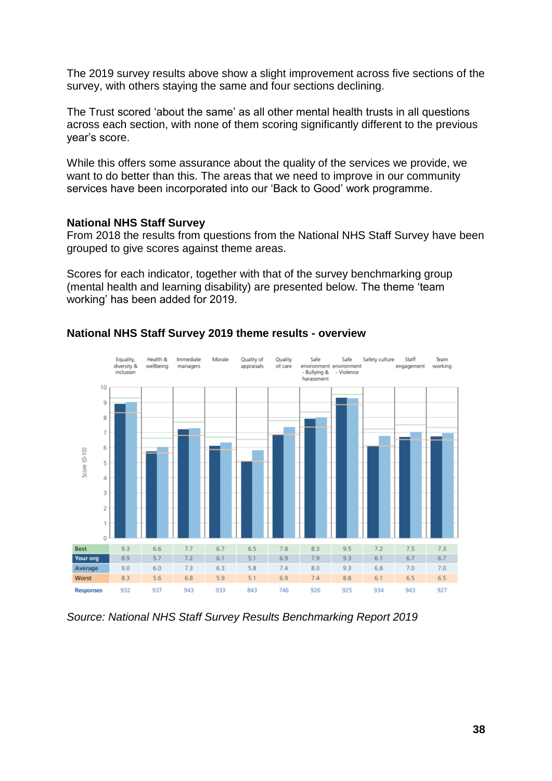The 2019 survey results above show a slight improvement across five sections of the survey, with others staying the same and four sections declining.

The Trust scored 'about the same' as all other mental health trusts in all questions across each section, with none of them scoring significantly different to the previous year's score.

While this offers some assurance about the quality of the services we provide, we want to do better than this. The areas that we need to improve in our community services have been incorporated into our 'Back to Good' work programme.

#### **National NHS Staff Survey**

From 2018 the results from questions from the National NHS Staff Survey have been grouped to give scores against theme areas.

Scores for each indicator, together with that of the survey benchmarking group (mental health and learning disability) are presented below. The theme 'team working' has been added for 2019.



#### **National NHS Staff Survey 2019 theme results - overview**

*Source: National NHS Staff Survey Results Benchmarking Report 2019*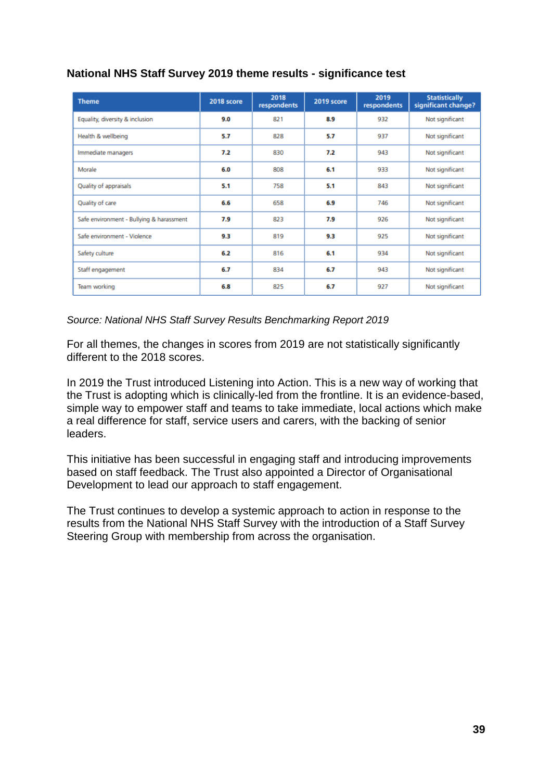| <b>Theme</b>                             | 2018 score | 2018<br>respondents | 2019 score | 2019<br>respondents | <b>Statistically</b><br>significant change? |
|------------------------------------------|------------|---------------------|------------|---------------------|---------------------------------------------|
| Equality, diversity & inclusion          | 9.0        | 821                 | 8.9        | 932                 | Not significant                             |
| Health & wellbeing                       | 5.7        | 828                 | 5.7        | 937                 | Not significant                             |
| Immediate managers                       | 7.2        | 830                 | 7.2        | 943                 | Not significant                             |
| Morale                                   | 6.0        | 808                 | 6.1        | 933                 | Not significant                             |
| Quality of appraisals                    | 5.1        | 758                 | 5.1        | 843                 | Not significant                             |
| Quality of care                          | 6.6        | 658                 | 6.9        | 746                 | Not significant                             |
| Safe environment - Bullying & harassment | 7.9        | 823                 | 7.9        | 926                 | Not significant                             |
| Safe environment - Violence              | 9.3        | 819                 | 9.3        | 925                 | Not significant                             |
| Safety culture                           | 6.2        | 816                 | 6.1        | 934                 | Not significant                             |
| Staff engagement                         | 6.7        | 834                 | 6.7        | 943                 | Not significant                             |
| Team working                             | 6.8        | 825                 | 6.7        | 927                 | Not significant                             |

# **National NHS Staff Survey 2019 theme results - significance test**

#### *Source: National NHS Staff Survey Results Benchmarking Report 2019*

For all themes, the changes in scores from 2019 are not statistically significantly different to the 2018 scores.

In 2019 the Trust introduced Listening into Action. This is a new way of working that the Trust is adopting which is clinically-led from the frontline. It is an evidence-based, simple way to empower staff and teams to take immediate, local actions which make a real difference for staff, service users and carers, with the backing of senior leaders.

This initiative has been successful in engaging staff and introducing improvements based on staff feedback. The Trust also appointed a Director of Organisational Development to lead our approach to staff engagement.

The Trust continues to develop a systemic approach to action in response to the results from the National NHS Staff Survey with the introduction of a Staff Survey Steering Group with membership from across the organisation.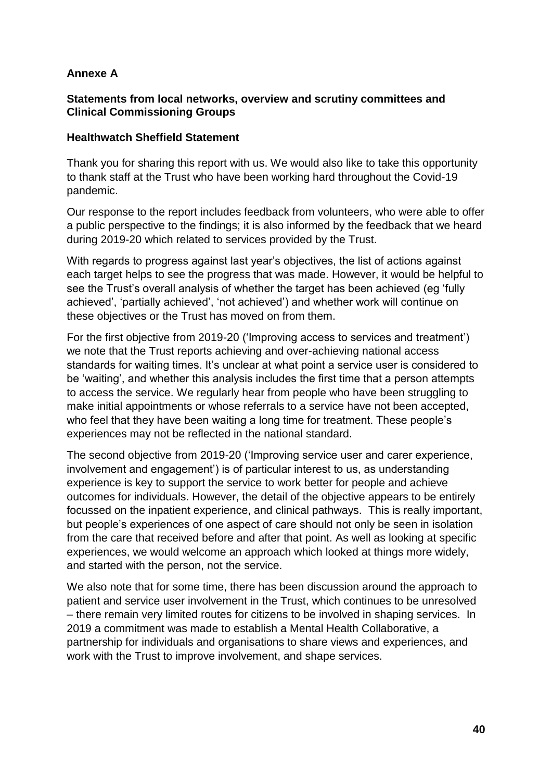# **Annexe A**

#### **Statements from local networks, overview and scrutiny committees and Clinical Commissioning Groups**

#### **Healthwatch Sheffield Statement**

Thank you for sharing this report with us. We would also like to take this opportunity to thank staff at the Trust who have been working hard throughout the Covid-19 pandemic.

Our response to the report includes feedback from volunteers, who were able to offer a public perspective to the findings; it is also informed by the feedback that we heard during 2019-20 which related to services provided by the Trust.

With regards to progress against last year's objectives, the list of actions against each target helps to see the progress that was made. However, it would be helpful to see the Trust's overall analysis of whether the target has been achieved (eg 'fully achieved', 'partially achieved', 'not achieved') and whether work will continue on these objectives or the Trust has moved on from them.

For the first objective from 2019-20 ('Improving access to services and treatment') we note that the Trust reports achieving and over-achieving national access standards for waiting times. It's unclear at what point a service user is considered to be 'waiting', and whether this analysis includes the first time that a person attempts to access the service. We regularly hear from people who have been struggling to make initial appointments or whose referrals to a service have not been accepted, who feel that they have been waiting a long time for treatment. These people's experiences may not be reflected in the national standard.

The second objective from 2019-20 ('Improving service user and carer experience, involvement and engagement') is of particular interest to us, as understanding experience is key to support the service to work better for people and achieve outcomes for individuals. However, the detail of the objective appears to be entirely focussed on the inpatient experience, and clinical pathways. This is really important, but people's experiences of one aspect of care should not only be seen in isolation from the care that received before and after that point. As well as looking at specific experiences, we would welcome an approach which looked at things more widely, and started with the person, not the service.

We also note that for some time, there has been discussion around the approach to patient and service user involvement in the Trust, which continues to be unresolved – there remain very limited routes for citizens to be involved in shaping services. In 2019 a commitment was made to establish a Mental Health Collaborative, a partnership for individuals and organisations to share views and experiences, and work with the Trust to improve involvement, and shape services.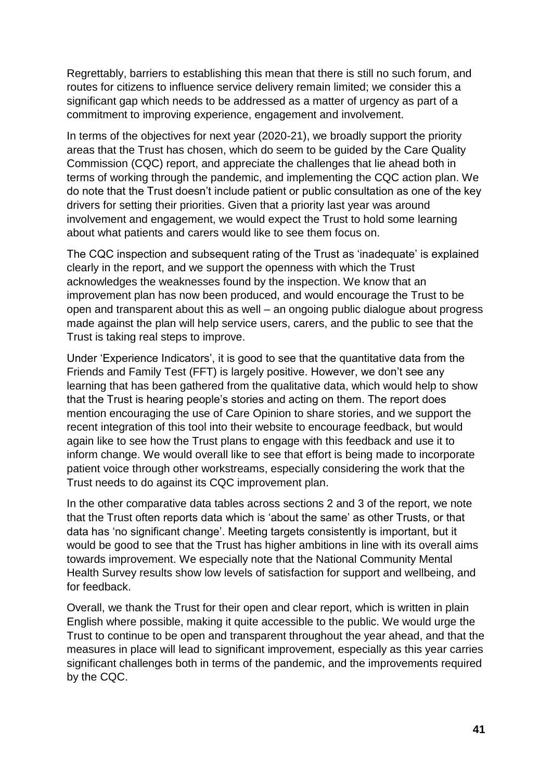Regrettably, barriers to establishing this mean that there is still no such forum, and routes for citizens to influence service delivery remain limited; we consider this a significant gap which needs to be addressed as a matter of urgency as part of a commitment to improving experience, engagement and involvement.

In terms of the objectives for next year (2020-21), we broadly support the priority areas that the Trust has chosen, which do seem to be guided by the Care Quality Commission (CQC) report, and appreciate the challenges that lie ahead both in terms of working through the pandemic, and implementing the CQC action plan. We do note that the Trust doesn't include patient or public consultation as one of the key drivers for setting their priorities. Given that a priority last year was around involvement and engagement, we would expect the Trust to hold some learning about what patients and carers would like to see them focus on.

The CQC inspection and subsequent rating of the Trust as 'inadequate' is explained clearly in the report, and we support the openness with which the Trust acknowledges the weaknesses found by the inspection. We know that an improvement plan has now been produced, and would encourage the Trust to be open and transparent about this as well – an ongoing public dialogue about progress made against the plan will help service users, carers, and the public to see that the Trust is taking real steps to improve.

Under 'Experience Indicators', it is good to see that the quantitative data from the Friends and Family Test (FFT) is largely positive. However, we don't see any learning that has been gathered from the qualitative data, which would help to show that the Trust is hearing people's stories and acting on them. The report does mention encouraging the use of Care Opinion to share stories, and we support the recent integration of this tool into their website to encourage feedback, but would again like to see how the Trust plans to engage with this feedback and use it to inform change. We would overall like to see that effort is being made to incorporate patient voice through other workstreams, especially considering the work that the Trust needs to do against its CQC improvement plan.

In the other comparative data tables across sections 2 and 3 of the report, we note that the Trust often reports data which is 'about the same' as other Trusts, or that data has 'no significant change'. Meeting targets consistently is important, but it would be good to see that the Trust has higher ambitions in line with its overall aims towards improvement. We especially note that the National Community Mental Health Survey results show low levels of satisfaction for support and wellbeing, and for feedback.

Overall, we thank the Trust for their open and clear report, which is written in plain English where possible, making it quite accessible to the public. We would urge the Trust to continue to be open and transparent throughout the year ahead, and that the measures in place will lead to significant improvement, especially as this year carries significant challenges both in terms of the pandemic, and the improvements required by the CQC.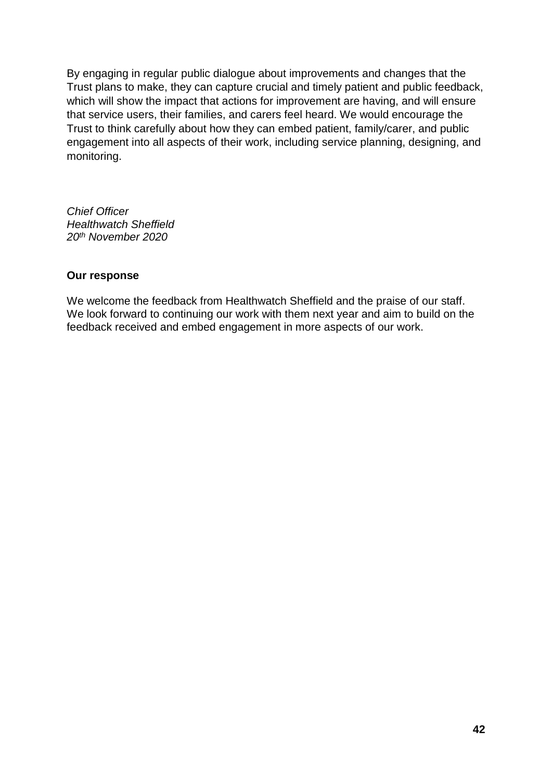By engaging in regular public dialogue about improvements and changes that the Trust plans to make, they can capture crucial and timely patient and public feedback, which will show the impact that actions for improvement are having, and will ensure that service users, their families, and carers feel heard. We would encourage the Trust to think carefully about how they can embed patient, family/carer, and public engagement into all aspects of their work, including service planning, designing, and monitoring.

*Chief Officer Healthwatch Sheffield 20th November 2020*

#### **Our response**

We welcome the feedback from Healthwatch Sheffield and the praise of our staff. We look forward to continuing our work with them next year and aim to build on the feedback received and embed engagement in more aspects of our work.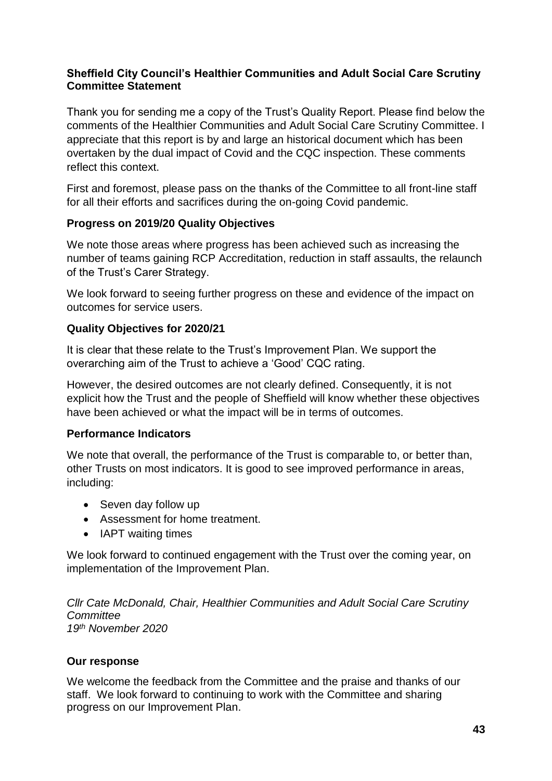# **Sheffield City Council's Healthier Communities and Adult Social Care Scrutiny Committee Statement**

Thank you for sending me a copy of the Trust's Quality Report. Please find below the comments of the Healthier Communities and Adult Social Care Scrutiny Committee. I appreciate that this report is by and large an historical document which has been overtaken by the dual impact of Covid and the CQC inspection. These comments reflect this context.

First and foremost, please pass on the thanks of the Committee to all front-line staff for all their efforts and sacrifices during the on-going Covid pandemic.

# **Progress on 2019/20 Quality Objectives**

We note those areas where progress has been achieved such as increasing the number of teams gaining RCP Accreditation, reduction in staff assaults, the relaunch of the Trust's Carer Strategy.

We look forward to seeing further progress on these and evidence of the impact on outcomes for service users.

# **Quality Objectives for 2020/21**

It is clear that these relate to the Trust's Improvement Plan. We support the overarching aim of the Trust to achieve a 'Good' CQC rating.

However, the desired outcomes are not clearly defined. Consequently, it is not explicit how the Trust and the people of Sheffield will know whether these objectives have been achieved or what the impact will be in terms of outcomes.

# **Performance Indicators**

We note that overall, the performance of the Trust is comparable to, or better than, other Trusts on most indicators. It is good to see improved performance in areas, including:

- Seven day follow up
- Assessment for home treatment.
- IAPT waiting times

We look forward to continued engagement with the Trust over the coming year, on implementation of the Improvement Plan.

*Cllr Cate McDonald, Chair, Healthier Communities and Adult Social Care Scrutiny Committee 19th November 2020*

# **Our response**

We welcome the feedback from the Committee and the praise and thanks of our staff. We look forward to continuing to work with the Committee and sharing progress on our Improvement Plan.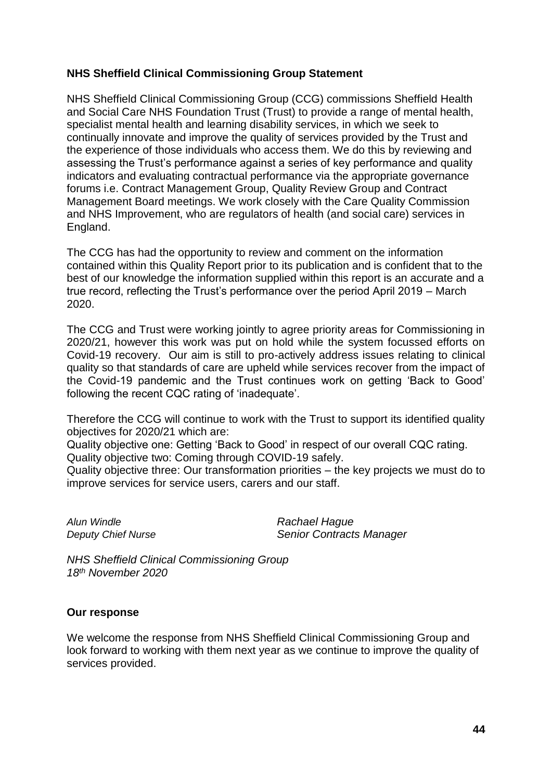#### **NHS Sheffield Clinical Commissioning Group Statement**

NHS Sheffield Clinical Commissioning Group (CCG) commissions Sheffield Health and Social Care NHS Foundation Trust (Trust) to provide a range of mental health, specialist mental health and learning disability services, in which we seek to continually innovate and improve the quality of services provided by the Trust and the experience of those individuals who access them. We do this by reviewing and assessing the Trust's performance against a series of key performance and quality indicators and evaluating contractual performance via the appropriate governance forums i.e. Contract Management Group, Quality Review Group and Contract Management Board meetings. We work closely with the Care Quality Commission and NHS Improvement, who are regulators of health (and social care) services in England.

The CCG has had the opportunity to review and comment on the information contained within this Quality Report prior to its publication and is confident that to the best of our knowledge the information supplied within this report is an accurate and a true record, reflecting the Trust's performance over the period April 2019 – March 2020.

The CCG and Trust were working jointly to agree priority areas for Commissioning in 2020/21, however this work was put on hold while the system focussed efforts on Covid-19 recovery. Our aim is still to pro-actively address issues relating to clinical quality so that standards of care are upheld while services recover from the impact of the Covid-19 pandemic and the Trust continues work on getting 'Back to Good' following the recent CQC rating of 'inadequate'.

Therefore the CCG will continue to work with the Trust to support its identified quality objectives for 2020/21 which are:

Quality objective one: Getting 'Back to Good' in respect of our overall CQC rating. Quality objective two: Coming through COVID-19 safely.

Quality objective three: Our transformation priorities – the key projects we must do to improve services for service users, carers and our staff.

*Alun Windle Rachael Hague*

*Deputy Chief Nurse Senior Contracts Manager*

*NHS Sheffield Clinical Commissioning Group 18th November 2020*

#### **Our response**

We welcome the response from NHS Sheffield Clinical Commissioning Group and look forward to working with them next year as we continue to improve the quality of services provided.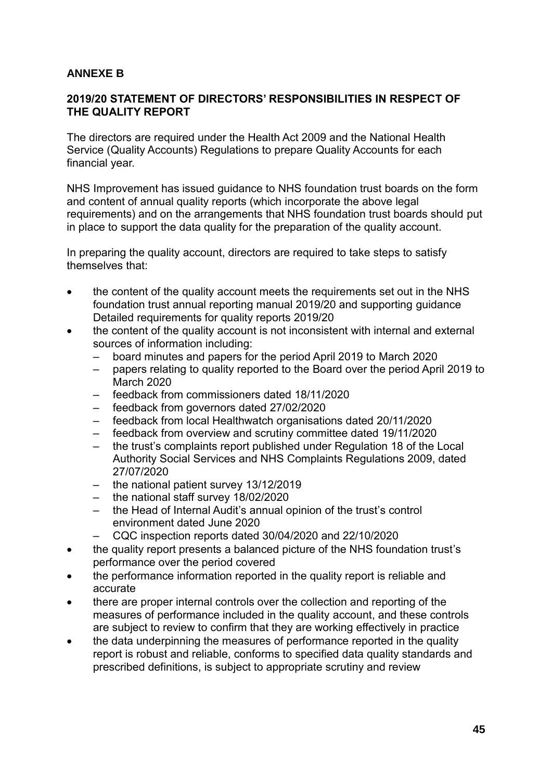# **ANNEXE B**

#### **2019/20 STATEMENT OF DIRECTORS' RESPONSIBILITIES IN RESPECT OF THE QUALITY REPORT**

The directors are required under the Health Act 2009 and the National Health Service (Quality Accounts) Regulations to prepare Quality Accounts for each financial year.

NHS Improvement has issued guidance to NHS foundation trust boards on the form and content of annual quality reports (which incorporate the above legal requirements) and on the arrangements that NHS foundation trust boards should put in place to support the data quality for the preparation of the quality account.

In preparing the quality account, directors are required to take steps to satisfy themselves that:

- the content of the quality account meets the requirements set out in the NHS foundation trust annual reporting manual 2019/20 and supporting guidance Detailed requirements for quality reports 2019/20
- the content of the quality account is not inconsistent with internal and external sources of information including:
	- board minutes and papers for the period April 2019 to March 2020
	- papers relating to quality reported to the Board over the period April 2019 to March 2020
	- feedback from commissioners dated 18/11/2020
	- feedback from governors dated 27/02/2020
	- feedback from local Healthwatch organisations dated 20/11/2020
	- feedback from overview and scrutiny committee dated 19/11/2020
	- the trust's complaints report published under Regulation 18 of the Local Authority Social Services and NHS Complaints Regulations 2009, dated 27/07/2020
	- the national patient survey 13/12/2019
	- the national staff survey 18/02/2020
	- the Head of Internal Audit's annual opinion of the trust's control environment dated June 2020
	- CQC inspection reports dated 30/04/2020 and 22/10/2020
- the quality report presents a balanced picture of the NHS foundation trust's performance over the period covered
- the performance information reported in the quality report is reliable and accurate
- there are proper internal controls over the collection and reporting of the measures of performance included in the quality account, and these controls are subject to review to confirm that they are working effectively in practice
- the data underpinning the measures of performance reported in the quality report is robust and reliable, conforms to specified data quality standards and prescribed definitions, is subject to appropriate scrutiny and review